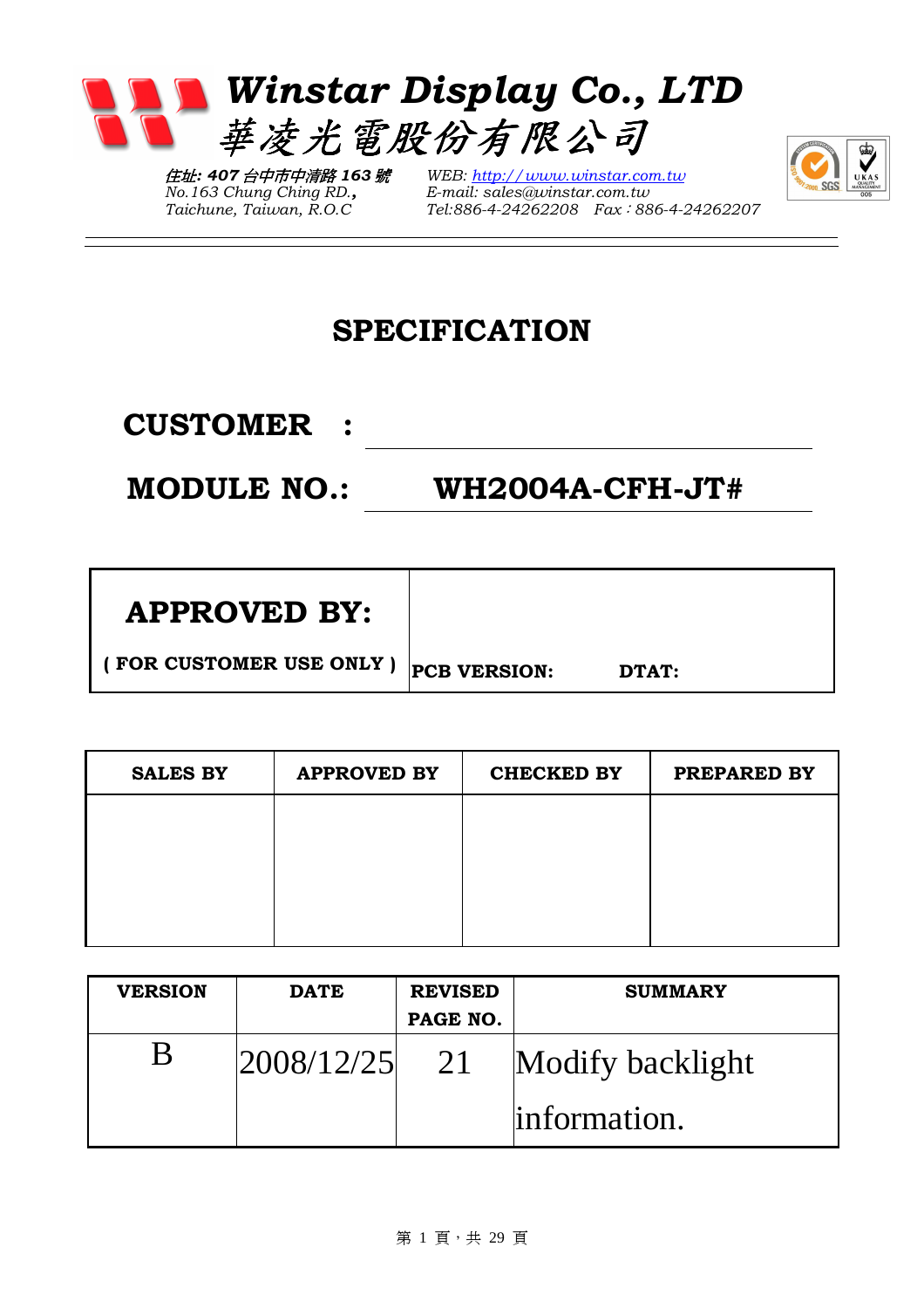

住址: 407 台中市中清路 163 號  $No.163$  Chung Ching RD., Taichune, Taiwan, R.O.C

WEB: http://www.winstar.com.tw E-mail: sales@winstar.com.tw Tel:886-4-24262208 Fax:886-4-24262207



### SPECIFICATION

CUSTOMER :

MODULE NO.: WH2004A-CFH-JT#

| <b>APPROVED BY:</b> |  |
|---------------------|--|
|---------------------|--|

( FOR CUSTOMER USE ONLY )  $|_{\text{PCB} \text{ VERSION}}$ : DTAT:

| <b>SALES BY</b> | <b>APPROVED BY</b> | <b>CHECKED BY</b> | PREPARED BY |
|-----------------|--------------------|-------------------|-------------|
|                 |                    |                   |             |
|                 |                    |                   |             |
|                 |                    |                   |             |
|                 |                    |                   |             |

| <b>VERSION</b> | <b>DATE</b> | <b>REVISED</b> | <b>SUMMARY</b>   |
|----------------|-------------|----------------|------------------|
|                |             | PAGE NO.       |                  |
|                | 2008/12/25  | 21             | Modify backlight |
|                |             |                | linformation.    |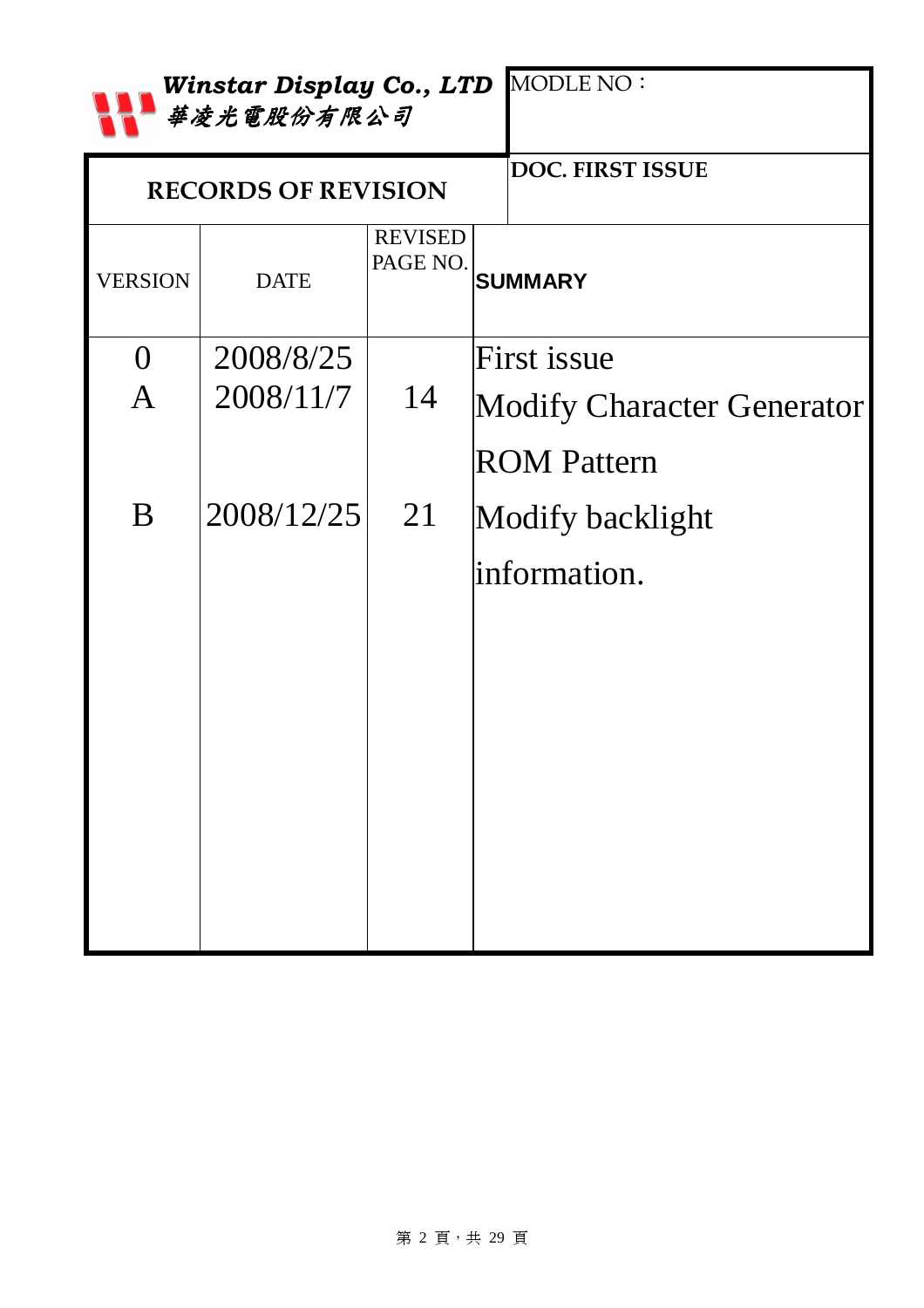|                  | 華凌光電股份有限公司                 |                            | Winstar Display Co., LTD MODLE NO: |
|------------------|----------------------------|----------------------------|------------------------------------|
|                  | <b>RECORDS OF REVISION</b> | <b>DOC. FIRST ISSUE</b>    |                                    |
| <b>VERSION</b>   | <b>DATE</b>                | <b>REVISED</b><br>PAGE NO. | <b>SUMMARY</b>                     |
| $\left( \right)$ | 2008/8/25                  |                            | First issue                        |
| $\mathbf{A}$     | 2008/11/7                  | 14                         | Modify Character Generator         |
|                  |                            |                            | <b>ROM Pattern</b>                 |
| B                | 2008/12/25                 | 21                         | Modify backlight                   |
|                  |                            |                            | information.                       |
|                  |                            |                            |                                    |
|                  |                            |                            |                                    |
|                  |                            |                            |                                    |
|                  |                            |                            |                                    |
|                  |                            |                            |                                    |
|                  |                            |                            |                                    |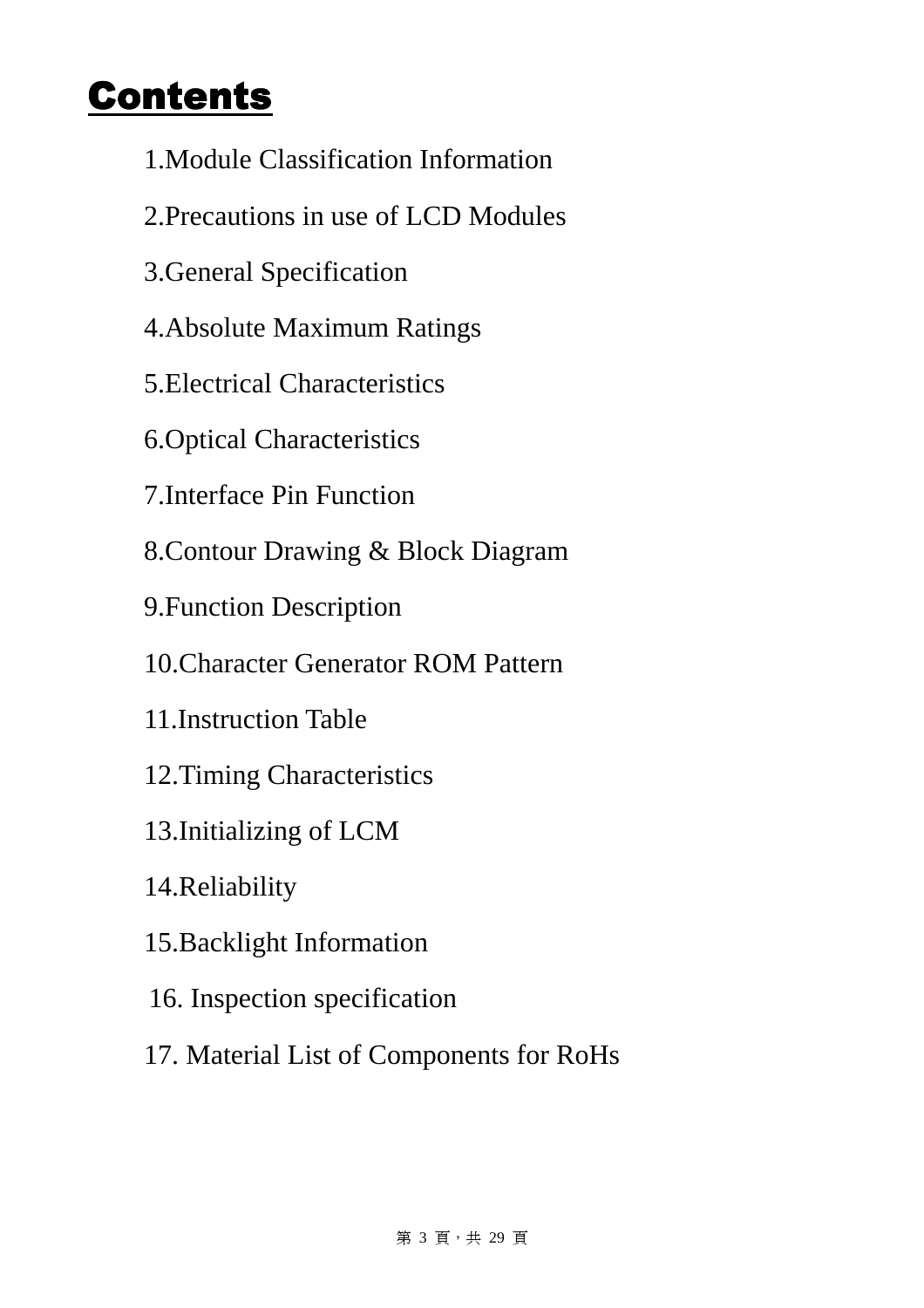### Contents

- 1.Module Classification Information
- 2.Precautions in use of LCD Modules
- 3.General Specification
- 4.Absolute Maximum Ratings
- 5.Electrical Characteristics
- 6.Optical Characteristics
- 7.Interface Pin Function
- 8.Contour Drawing & Block Diagram
- 9.Function Description
- 10.Character Generator ROM Pattern
- 11.Instruction Table
- 12.Timing Characteristics
- 13.Initializing of LCM
- 14.Reliability
- 15.Backlight Information
- 16. Inspection specification
- 17. Material List of Components for RoHs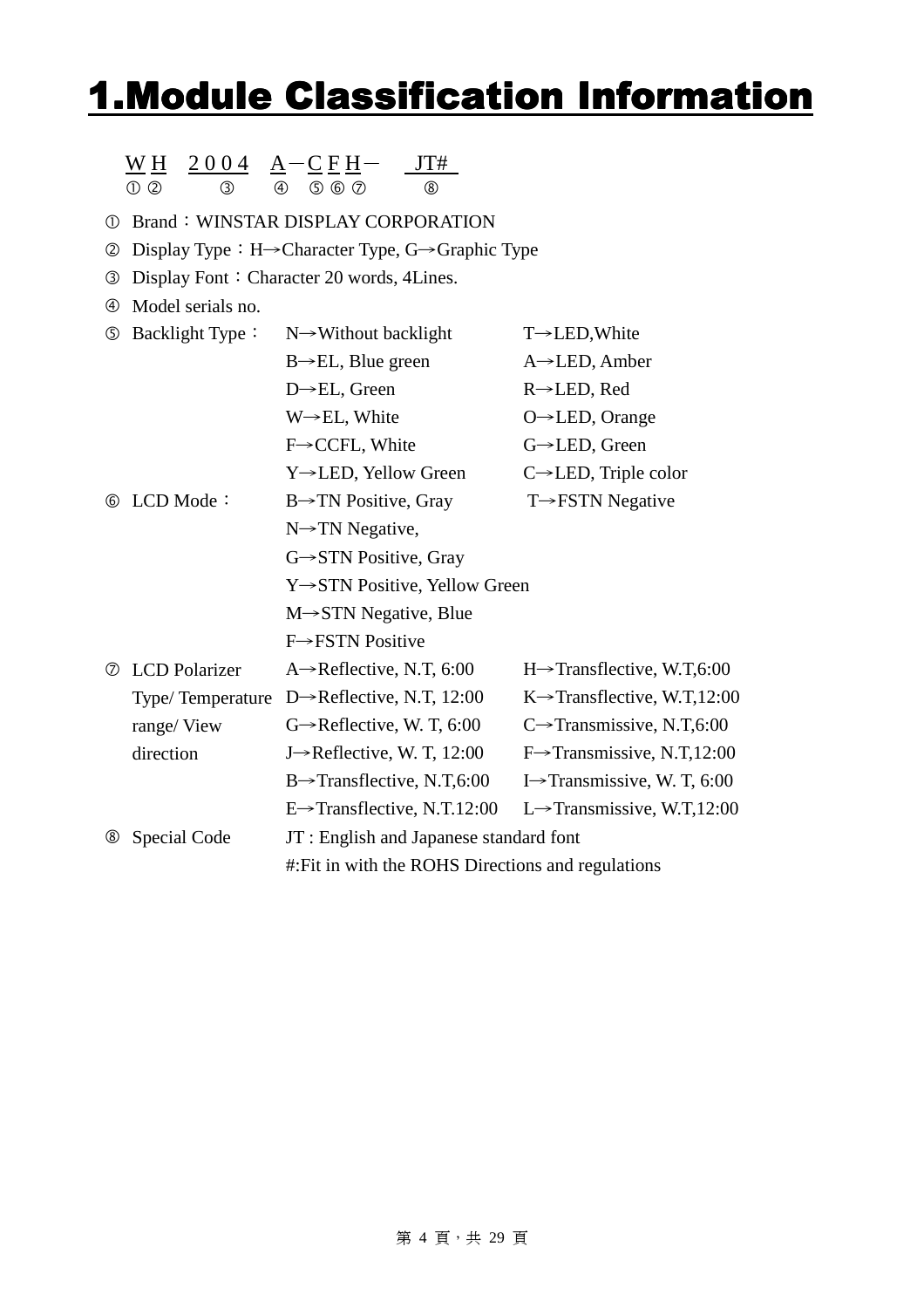### **1.Module Classification Information**

|                | 2004<br>W H                      | $A-CEH-$                                                                    |                                          |  |  |  |
|----------------|----------------------------------|-----------------------------------------------------------------------------|------------------------------------------|--|--|--|
|                | $\odot$ $\odot$<br>$\circled{3}$ | $(5)$ $(6)$ $(7)$<br>$(\delta)$<br>(4)                                      |                                          |  |  |  |
| $^\circledR$   |                                  | <b>Brand: WINSTAR DISPLAY CORPORATION</b>                                   |                                          |  |  |  |
| ②              |                                  | Display Type : $H \rightarrow$ Character Type, $G \rightarrow$ Graphic Type |                                          |  |  |  |
| ③              |                                  | Display Font: Character 20 words, 4Lines.                                   |                                          |  |  |  |
| $^{\circledR}$ | Model serials no.                |                                                                             |                                          |  |  |  |
| ⑤              | Backlight Type:                  | $N \rightarrow W$ ithout backlight                                          | $T\rightarrow$ LED, White                |  |  |  |
|                |                                  | $B \rightarrow EL$ , Blue green                                             | $A \rightarrow$ LED, Amber               |  |  |  |
|                |                                  | $D \rightarrow EL$ , Green                                                  | R→LED, Red                               |  |  |  |
|                |                                  | $W \rightarrow EL$ , White                                                  | O→LED, Orange                            |  |  |  |
|                |                                  | $F \rightarrow CCFL$ , White                                                | G→LED, Green                             |  |  |  |
|                |                                  | Y→LED, Yellow Green                                                         | $C \rightarrow$ LED, Triple color        |  |  |  |
| 6              | LCD Mode:                        | $B \rightarrow TN$ Positive, Gray                                           | $T \rightarrow FSTN$ Negative            |  |  |  |
|                |                                  | $N \rightarrow TN$ Negative,                                                |                                          |  |  |  |
|                |                                  | $G \rightarrow STN$ Positive, Gray                                          |                                          |  |  |  |
|                |                                  | Y→STN Positive, Yellow Green                                                |                                          |  |  |  |
|                |                                  | $M \rightarrow STN$ Negative, Blue                                          |                                          |  |  |  |
|                |                                  | F->FSTN Positive                                                            |                                          |  |  |  |
| ℗              | <b>LCD</b> Polarizer             | $A \rightarrow$ Reflective, N.T, 6:00                                       | $H\rightarrow$ Transflective, W.T,6:00   |  |  |  |
|                | Type/Temperature                 | D $\rightarrow$ Reflective, N.T, 12:00                                      | $K \rightarrow$ Transflective, W.T,12:00 |  |  |  |
|                | range/View                       | $G \rightarrow$ Reflective, W. T, 6:00                                      | C $\rightarrow$ Transmissive, N.T,6:00   |  |  |  |
|                | direction                        | J $\rightarrow$ Reflective, W. T, 12:00                                     | $F\rightarrow$ Transmissive, N.T,12:00   |  |  |  |
|                |                                  | $B\rightarrow$ Transflective, N.T,6:00                                      | I $\rightarrow$ Transmissive, W. T, 6:00 |  |  |  |
|                |                                  | E→Transflective, N.T.12:00                                                  | L $\rightarrow$ Transmissive, W.T,12:00  |  |  |  |
| $^\circledR$   | Special Code                     | JT : English and Japanese standard font                                     |                                          |  |  |  |
|                |                                  | #: Fit in with the ROHS Directions and regulations                          |                                          |  |  |  |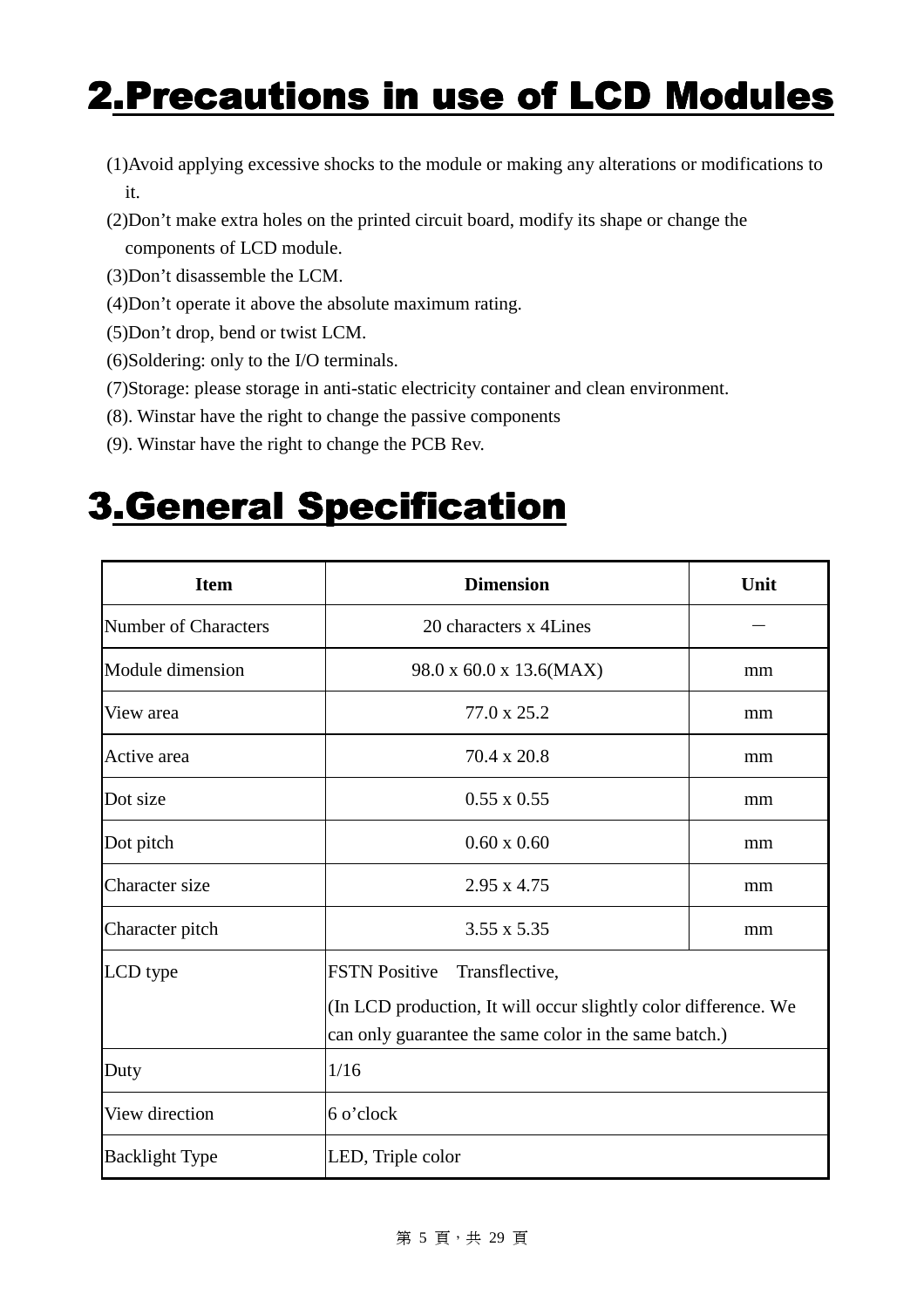## 2. Precautions in use of LCD Modules

- (1)Avoid applying excessive shocks to the module or making any alterations or modifications to it.
- (2)Don't make extra holes on the printed circuit board, modify its shape or change the components of LCD module.
- (3)Don't disassemble the LCM.
- (4)Don't operate it above the absolute maximum rating.
- (5)Don't drop, bend or twist LCM.
- (6)Soldering: only to the I/O terminals.
- (7)Storage: please storage in anti-static electricity container and clean environment.
- (8). Winstar have the right to change the passive components
- (9). Winstar have the right to change the PCB Rev.

### 3.General Specification 3.General Specification

| <b>Item</b>                 | Unit                                                                                                                     |    |
|-----------------------------|--------------------------------------------------------------------------------------------------------------------------|----|
| <b>Number of Characters</b> | 20 characters x 4 Lines                                                                                                  |    |
| Module dimension            | 98.0 x 60.0 x 13.6(MAX)                                                                                                  | mm |
| View area                   | 77.0 x 25.2                                                                                                              | mm |
| Active area                 | 70.4 x 20.8                                                                                                              | mm |
| Dot size                    | $0.55 \times 0.55$                                                                                                       | mm |
| Dot pitch                   | $0.60 \times 0.60$                                                                                                       | mm |
| Character size              | $2.95 \times 4.75$                                                                                                       | mm |
| Character pitch             | 3.55 x 5.35                                                                                                              | mm |
| LCD type                    | <b>FSTN Positive</b><br>Transflective,                                                                                   |    |
|                             | (In LCD production, It will occur slightly color difference. We<br>can only guarantee the same color in the same batch.) |    |
| Duty                        | 1/16                                                                                                                     |    |
| View direction              | 6 o'clock                                                                                                                |    |
| <b>Backlight Type</b>       | LED, Triple color                                                                                                        |    |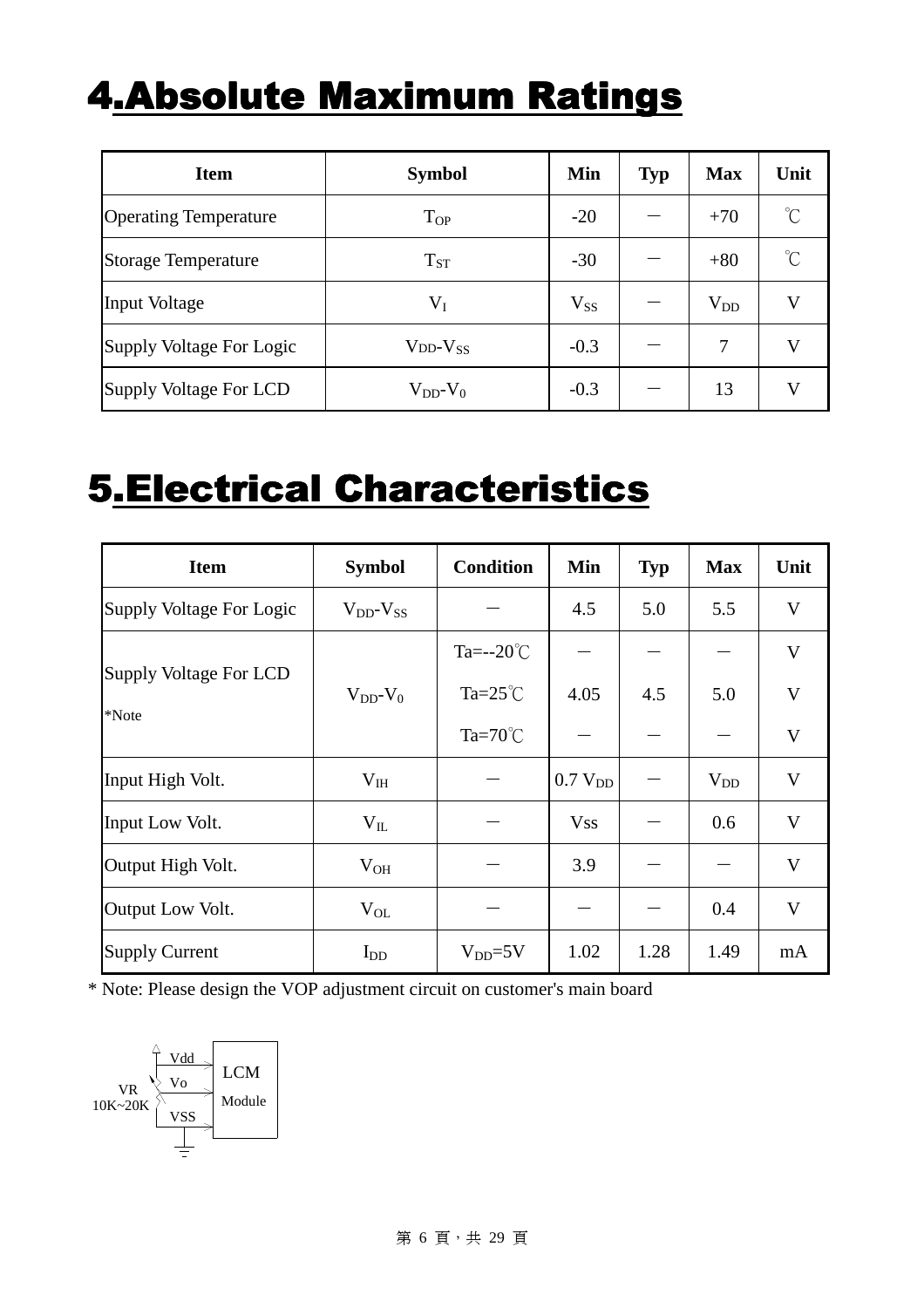### **4.Absolute Maximum Ratings**

| <b>Item</b>                  | <b>Symbol</b>       | Min      | <b>Typ</b> | <b>Max</b> | Unit                |
|------------------------------|---------------------|----------|------------|------------|---------------------|
| <b>Operating Temperature</b> | $T_{OP}$            | $-20$    |            | $+70$      | $\int_{0}^{\infty}$ |
| <b>Storage Temperature</b>   | $T_{ST}$            | $-30$    |            | $+80$      | $\int_{0}^{\infty}$ |
| <b>Input Voltage</b>         | $\rm V_I$           | $V_{SS}$ |            | $V_{DD}$   | V                   |
| Supply Voltage For Logic     | $V_{DD}$ - $V_{SS}$ | $-0.3$   |            | 7          | V                   |
| Supply Voltage For LCD       | $V_{DD}$ - $V_0$    | $-0.3$   |            | 13         | V                   |

### 5.Electrical Characteristics

| <b>Item</b>              | <b>Symbol</b>       | <b>Condition</b>    | Min                 | <b>Typ</b> | <b>Max</b>                     | Unit         |
|--------------------------|---------------------|---------------------|---------------------|------------|--------------------------------|--------------|
| Supply Voltage For Logic | $V_{DD}$ - $V_{SS}$ |                     | 4.5                 | 5.0        | 5.5                            | V            |
|                          |                     | Ta= $-20^{\circ}$ C |                     |            |                                | V            |
| Supply Voltage For LCD   | $V_{DD}$ - $V_0$    | Ta= $25^{\circ}$ C  | 4.05                | 4.5        | 5.0                            | $\mathbf{V}$ |
| *Note                    |                     | Ta= $70^{\circ}$ C  |                     |            | $\qquad \qquad \longleftarrow$ | V            |
| Input High Volt.         | $V_{IH}$            |                     | 0.7 V <sub>DD</sub> |            | $V_{DD}$                       | V            |
| Input Low Volt.          | $V_{IL}$            |                     | <b>Vss</b>          |            | 0.6                            | V            |
| Output High Volt.        | $V_{OH}$            |                     | 3.9                 |            |                                | V            |
| Output Low Volt.         | $V_{OL}$            |                     |                     |            | 0.4                            | V            |
| <b>Supply Current</b>    | $I_{DD}$            | $V_{DD} = 5V$       | 1.02                | 1.28       | 1.49                           | mA           |

\* Note: Please design the VOP adjustment circuit on customer's main board

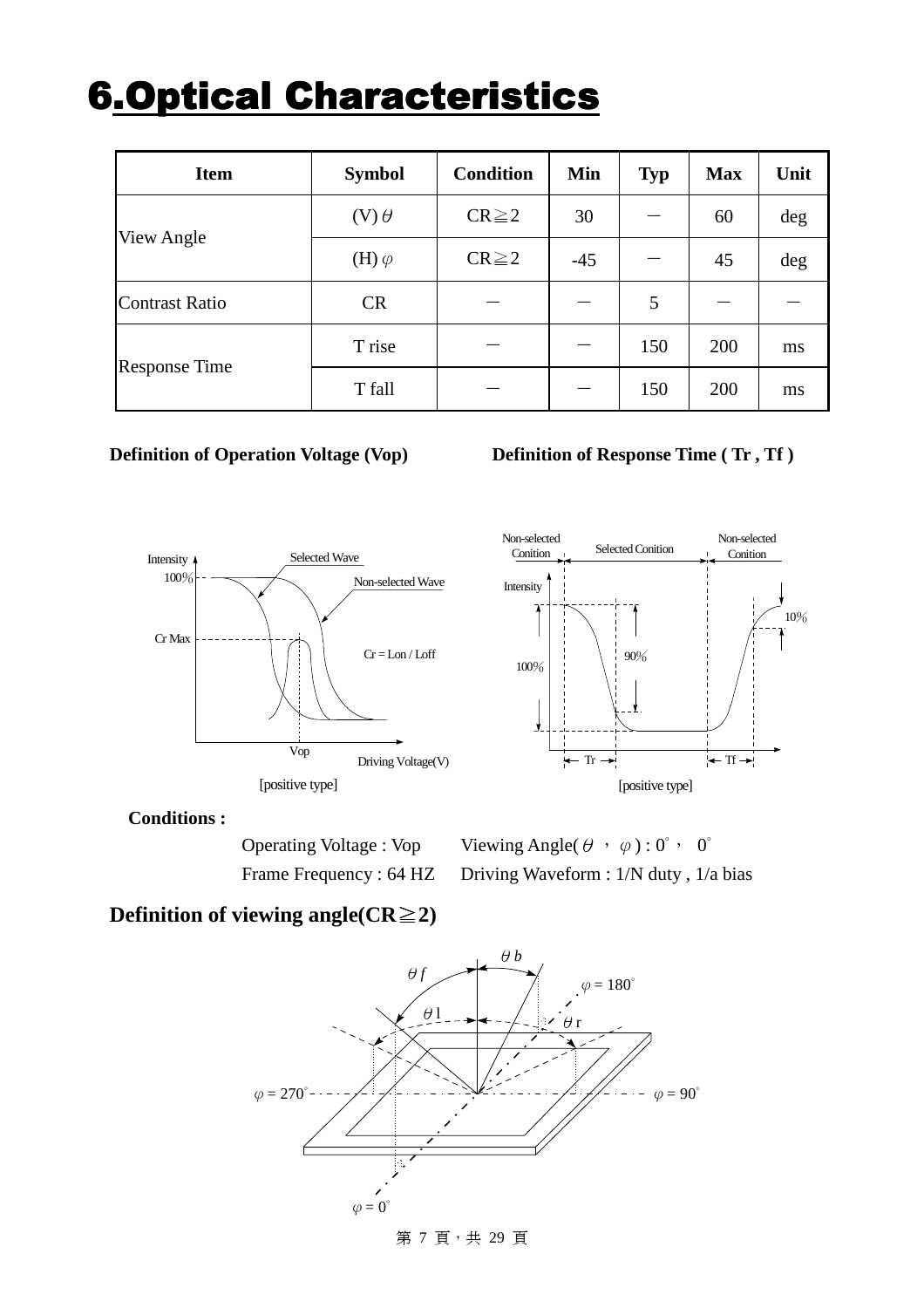### **6.Optical Characteristics**

| <b>Item</b>           | <b>Symbol</b>  | <b>Condition</b> | Min   | <b>Typ</b> | <b>Max</b> | Unit |
|-----------------------|----------------|------------------|-------|------------|------------|------|
|                       | $(V)$ $\theta$ | $CR \geq 2$      | 30    |            | 60         | deg  |
| View Angle            | (H) $\varphi$  | $CR \geq 2$      | $-45$ |            | 45         | deg  |
| <b>Contrast Ratio</b> | <b>CR</b>      |                  |       | 5          |            |      |
|                       | T rise         |                  |       | 150        | 200        | ms   |
| <b>Response Time</b>  | T fall         |                  |       | 150        | 200        | ms   |

#### **Definition of Operation Voltage (Vop) Definition of Response Time (Tr, Tf)**





#### **Conditions :**

Operating Voltage : Vop Viewing Angle( $\theta$ ,  $\varphi$ ) : 0°, 0° Frame Frequency : 64 HZ Driving Waveform : 1/N duty, 1/a bias

#### **Definition of viewing angle(** $CR \geq 2$ **)**

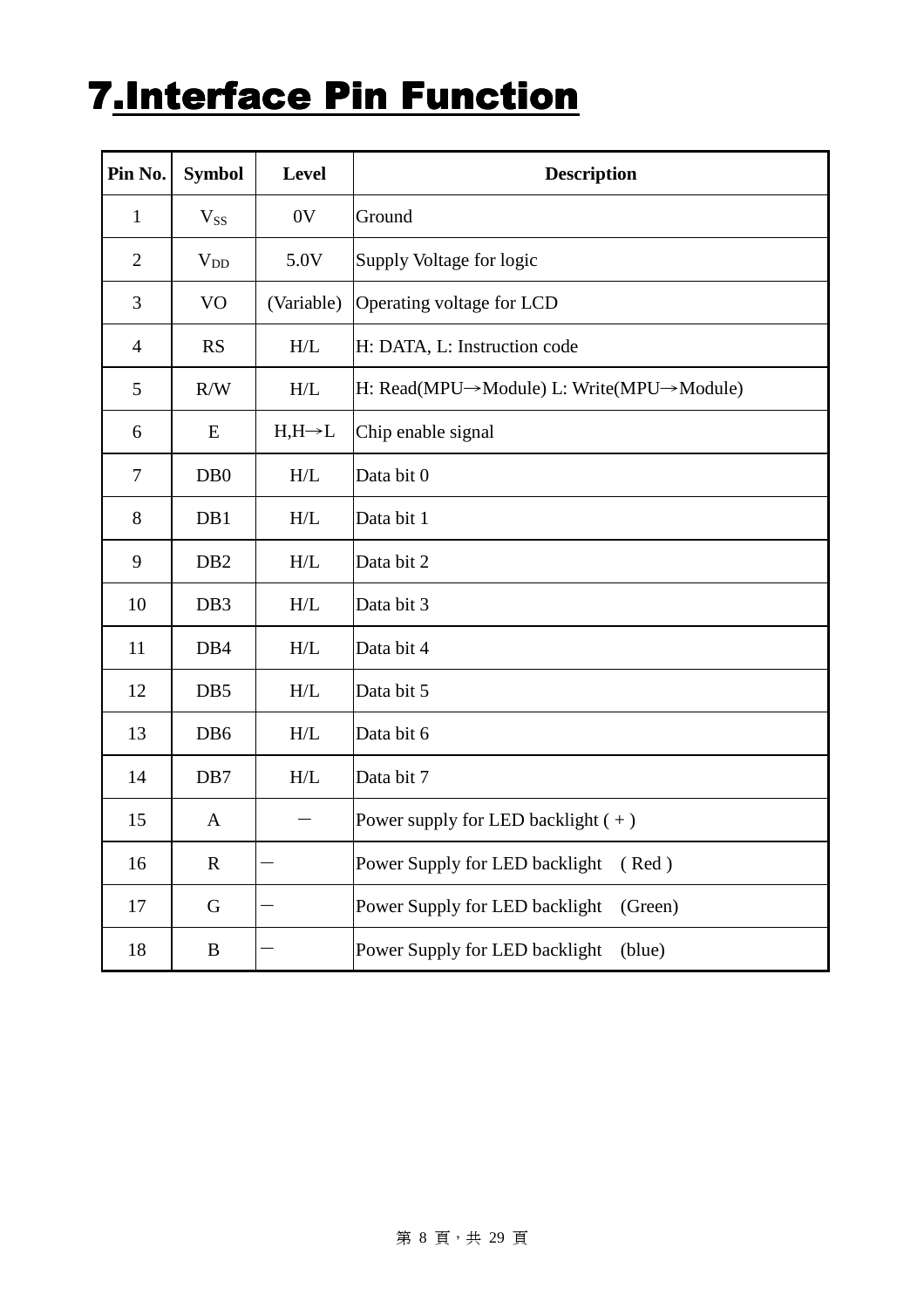# **7.Interface Pin Function**

| Pin No.        | <b>Symbol</b>    | <b>Level</b>       | <b>Description</b>                        |  |  |  |  |  |
|----------------|------------------|--------------------|-------------------------------------------|--|--|--|--|--|
| $\mathbf{1}$   | $V_{SS}$         | 0V                 | Ground                                    |  |  |  |  |  |
| $\mathbf{2}$   | $V_{DD}$         | 5.0V               | Supply Voltage for logic                  |  |  |  |  |  |
| 3              | V <sub>O</sub>   | (Variable)         | Operating voltage for LCD                 |  |  |  |  |  |
| $\overline{4}$ | <b>RS</b>        | H/L                | H: DATA, L: Instruction code              |  |  |  |  |  |
| 5              | R/W              | H/L                | H: Read(MPU→Module) L: Write(MPU→Module)  |  |  |  |  |  |
| 6              | E                | $H,H\rightarrow L$ | Chip enable signal                        |  |  |  |  |  |
| $\tau$         | D <sub>B</sub> 0 | H/L                | Data bit 0                                |  |  |  |  |  |
| 8              | DB1              | H/L                | Data bit 1                                |  |  |  |  |  |
| 9              | D <sub>B2</sub>  | H/L                | Data bit 2                                |  |  |  |  |  |
| 10             | DB <sub>3</sub>  | H/L                | Data bit 3                                |  |  |  |  |  |
| 11             | DB <sub>4</sub>  | H/L                | Data bit 4                                |  |  |  |  |  |
| 12             | DB5              | H/L                | Data bit 5                                |  |  |  |  |  |
| 13             | D <sub>B6</sub>  | H/L                | Data bit 6                                |  |  |  |  |  |
| 14             | DB7              | H/L                | Data bit 7                                |  |  |  |  |  |
| 15             | A                |                    | Power supply for LED backlight $(+)$      |  |  |  |  |  |
| 16             | $\mathbf R$      |                    | Power Supply for LED backlight<br>(Red)   |  |  |  |  |  |
| 17             | G                |                    | Power Supply for LED backlight<br>(Green) |  |  |  |  |  |
| 18             | $\, {\bf B}$     |                    | Power Supply for LED backlight<br>(blue)  |  |  |  |  |  |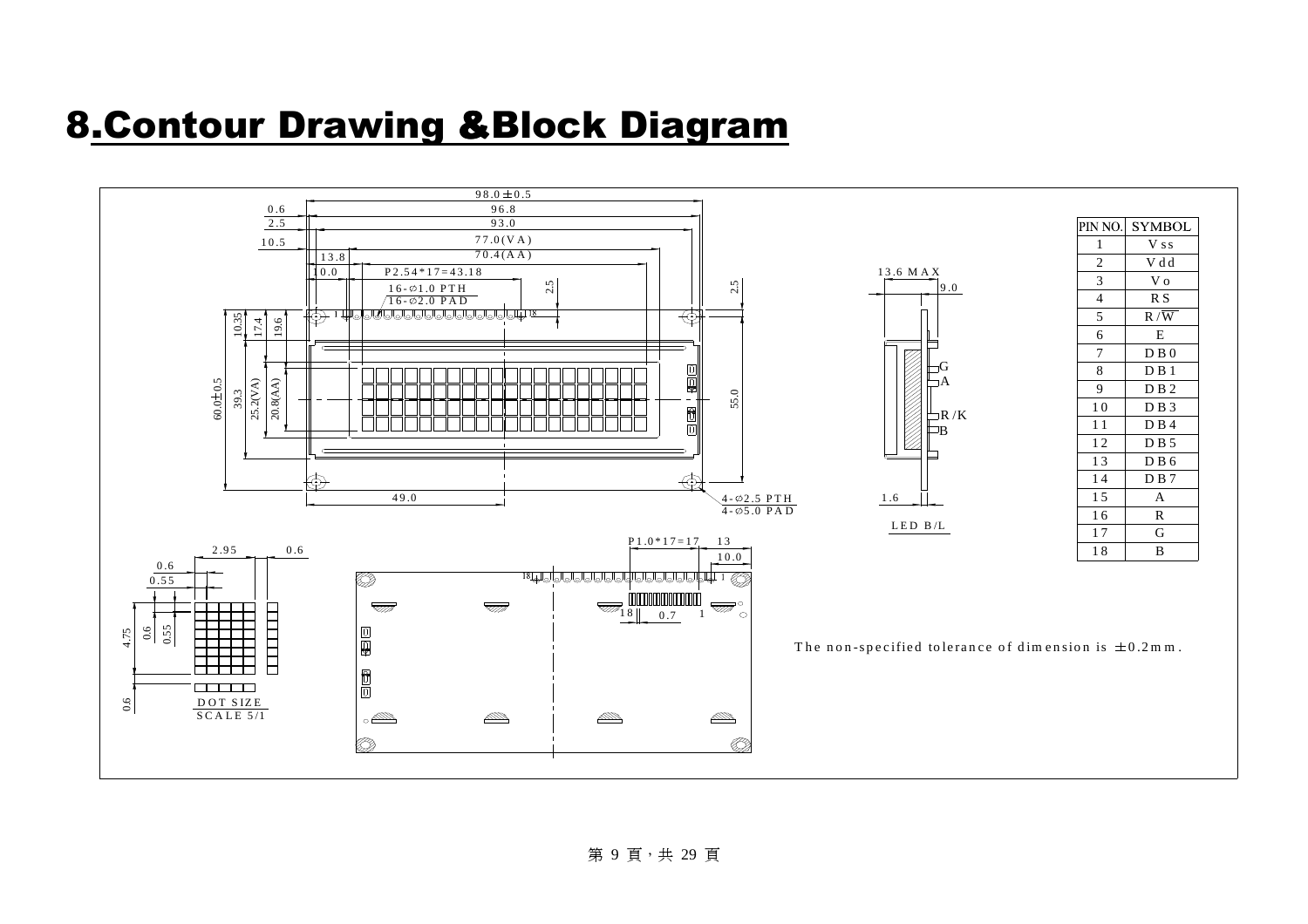### 8.Contour Drawing &Block Diagram

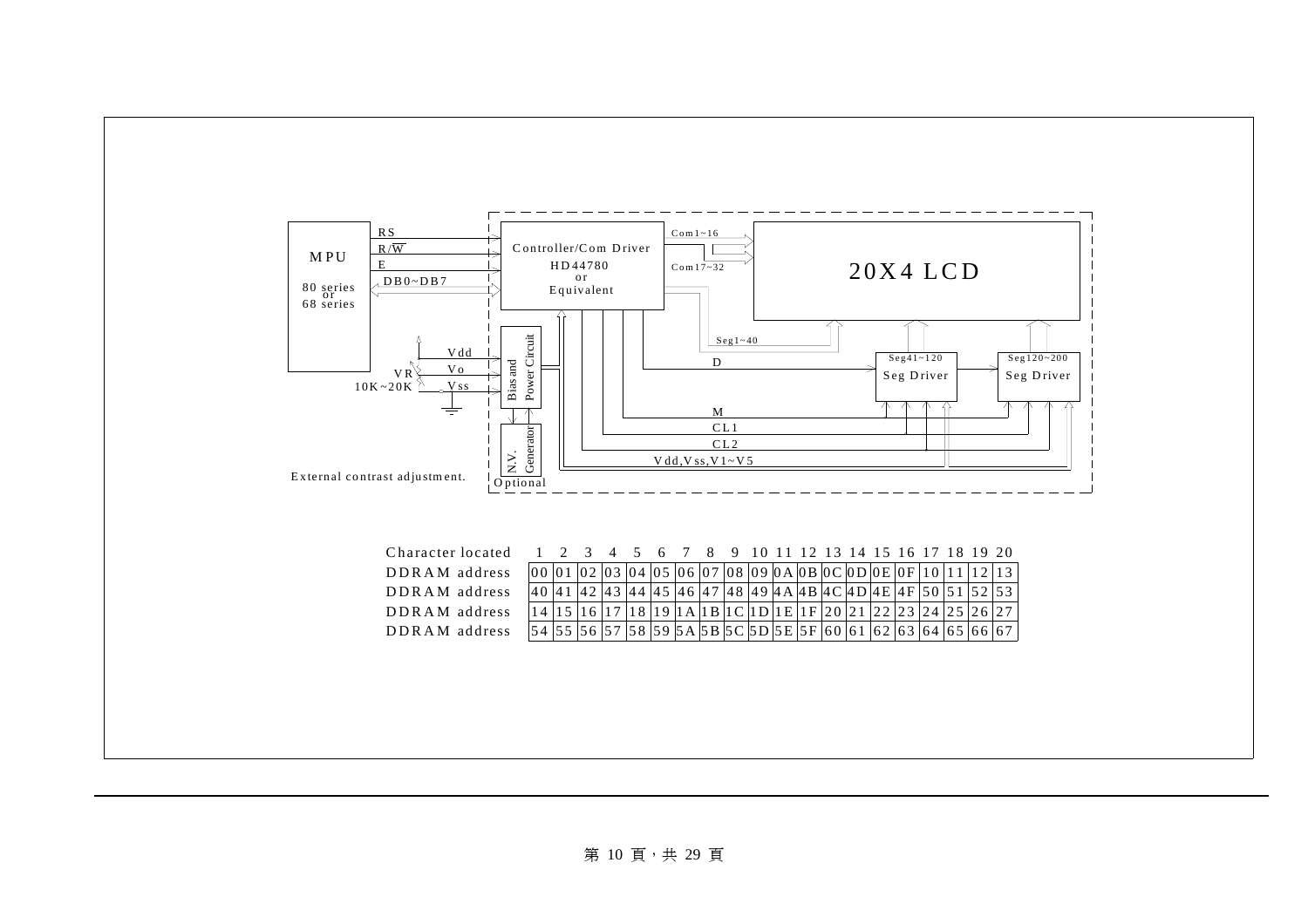

#### 第 10 頁,共 29 頁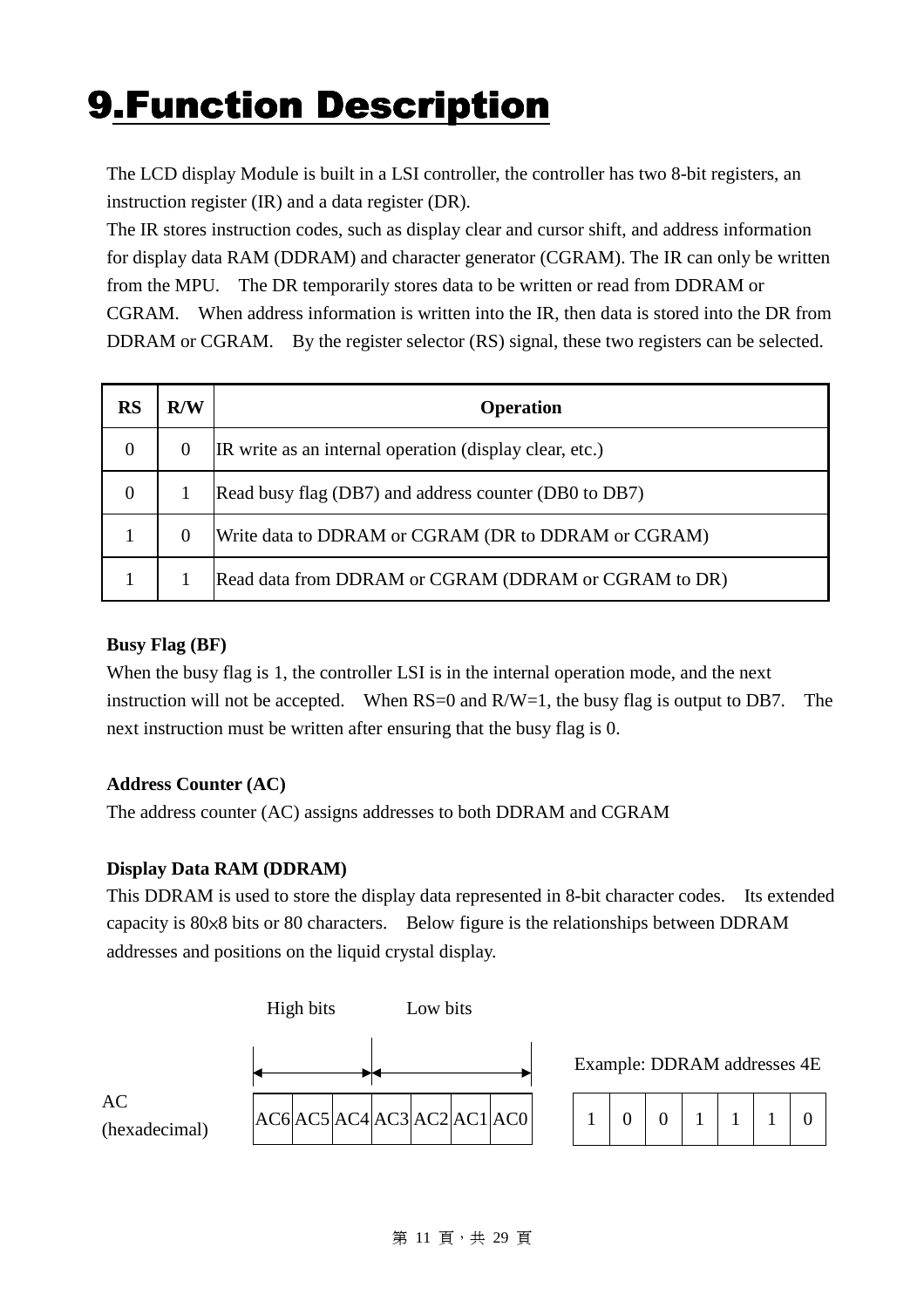# **9.Function Description**

 The LCD display Module is built in a LSI controller, the controller has two 8-bit registers, an instruction register (IR) and a data register (DR).

The IR stores instruction codes, such as display clear and cursor shift, and address information for display data RAM (DDRAM) and character generator (CGRAM). The IR can only be written from the MPU. The DR temporarily stores data to be written or read from DDRAM or CGRAM. When address information is written into the IR, then data is stored into the DR from DDRAM or CGRAM. By the register selector (RS) signal, these two registers can be selected.

| <b>RS</b>      | R/W      | <b>Operation</b>                                        |
|----------------|----------|---------------------------------------------------------|
| $\overline{0}$ | $\theta$ | IR write as an internal operation (display clear, etc.) |
| $\overline{0}$ |          | Read busy flag (DB7) and address counter (DB0 to DB7)   |
|                | 0        | Write data to DDRAM or CGRAM (DR to DDRAM or CGRAM)     |
|                |          | Read data from DDRAM or CGRAM (DDRAM or CGRAM to DR)    |

#### **Busy Flag (BF)**

 When the busy flag is 1, the controller LSI is in the internal operation mode, and the next instruction will not be accepted. When  $RS=0$  and  $R/W=1$ , the busy flag is output to DB7. The next instruction must be written after ensuring that the busy flag is 0.

#### **Address Counter (AC)**

The address counter (AC) assigns addresses to both DDRAM and CGRAM

#### **Display Data RAM (DDRAM)**

This DDRAM is used to store the display data represented in 8-bit character codes. Its extended capacity is 80×8 bits or 80 characters. Below figure is the relationships between DDRAM addresses and positions on the liquid crystal display.



Example: DDRAM addresses 4E

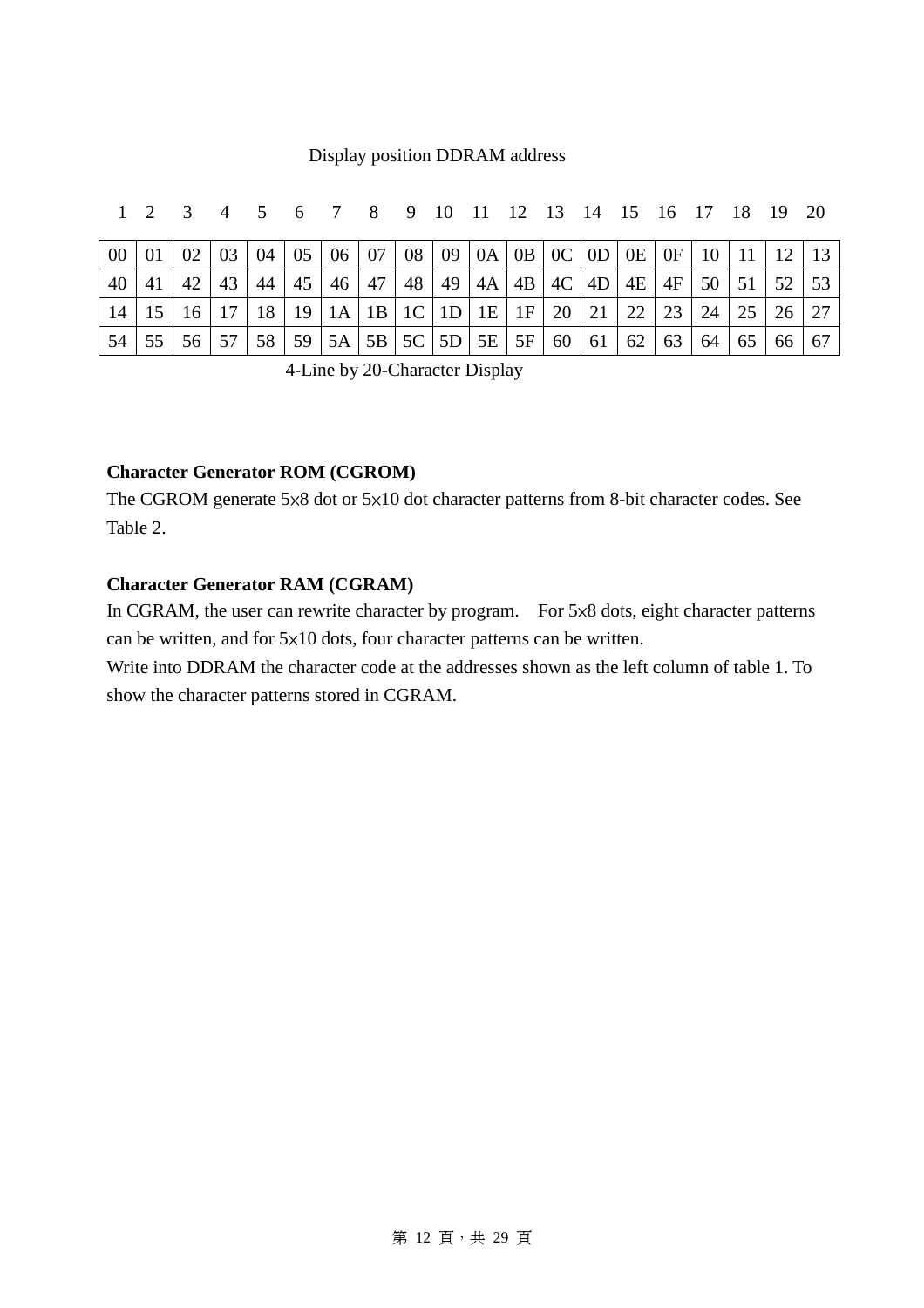#### Display position DDRAM address

| $00\,$ |              |    |    |    |    | $\mid$ 01 $\mid$ 02 $\mid$ 03 $\mid$ 04 $\mid$ 05 $\mid$ 06 $\mid$ 07 $\mid$ 08 $\mid$ 09 $\mid$ 0A $\mid$ 0B $\mid$ 0C $\mid$ 0D $\mid$ 0E $\mid$ 0F $\mid$ 10 $\mid$ 11 $\mid$ 12 $\mid$ |    |  |  |                             |    |              |    |                 |  |
|--------|--------------|----|----|----|----|--------------------------------------------------------------------------------------------------------------------------------------------------------------------------------------------|----|--|--|-----------------------------|----|--------------|----|-----------------|--|
| 40     | 42           | 43 | 44 | 45 | 46 | 47                                                                                                                                                                                         | 48 |  |  | 49   4A   4B   4C   4D   4E | 4F | $50 \mid 51$ |    |                 |  |
| 14     |              |    | 18 |    |    | 19   1A   1B   1C   1D   1E   1F   20   21                                                                                                                                                 |    |  |  | $\vert 22 \vert$            | 23 | 24           | 25 | 26 <sup>1</sup> |  |
| 54     | 55   56   57 |    | 58 |    |    | $59 \mid 5A \mid 5B \mid 5C \mid 5D \mid 5E \mid 5F \mid 60 \mid 61$                                                                                                                       |    |  |  | 62                          | 63 | 64           |    |                 |  |

1 2 3 4 5 6 7 8 9 10 11 12 13 14 15 16 17 18 19 20

4-Line by 20-Character Display

#### **Character Generator ROM (CGROM)**

The CGROM generate 5×8 dot or 5×10 dot character patterns from 8-bit character codes. See Table 2.

#### **Character Generator RAM (CGRAM)**

 In CGRAM, the user can rewrite character by program. For 5×8 dots, eight character patterns can be written, and for 5×10 dots, four character patterns can be written.

Write into DDRAM the character code at the addresses shown as the left column of table 1. To show the character patterns stored in CGRAM.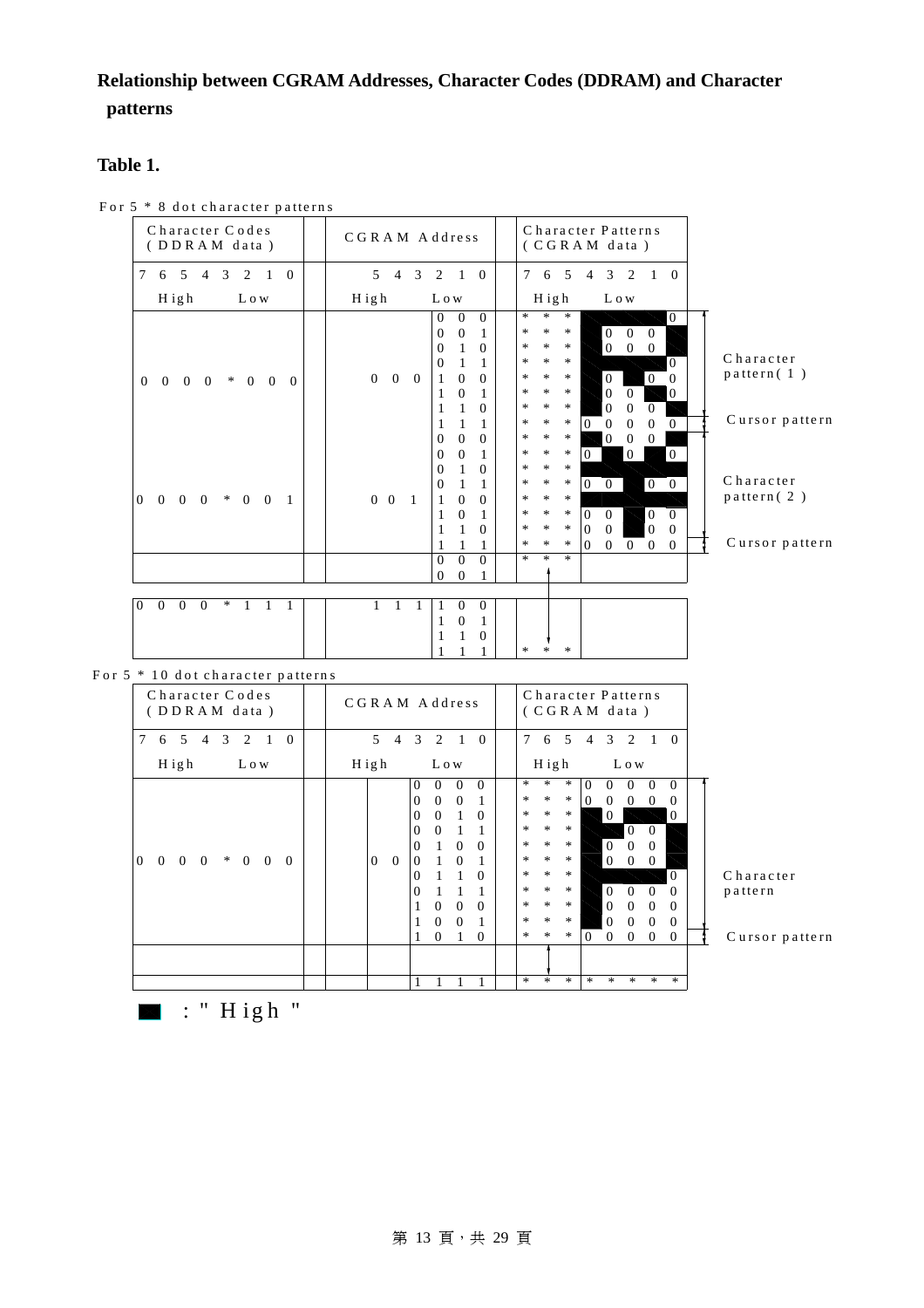#### **Relationship between CGRAM Addresses, Character Codes (DDRAM) and Character patterns**

#### **Table 1.**

For 5  $*$  8 dot character patterns

| Character Codes<br>(DDRAM data)                                                                    | Character Patterns<br>CGRAM Address<br>(CGRAM data)                                                                                                                                                                                                                                                                                                                                                                                                                                                                                                                                                                                                                                                                                                                                                                                                                                                                                                                                                            |
|----------------------------------------------------------------------------------------------------|----------------------------------------------------------------------------------------------------------------------------------------------------------------------------------------------------------------------------------------------------------------------------------------------------------------------------------------------------------------------------------------------------------------------------------------------------------------------------------------------------------------------------------------------------------------------------------------------------------------------------------------------------------------------------------------------------------------------------------------------------------------------------------------------------------------------------------------------------------------------------------------------------------------------------------------------------------------------------------------------------------------|
| 7<br>5<br>3<br>2<br>$\Omega$<br>6<br>$\overline{4}$<br>1                                           | 3<br>$7\overline{ }$<br>2<br>$\mathcal{F}$<br>$\overline{4}$<br>$\overline{1}$<br>$\Omega$<br>6<br>5<br>3<br>2<br>$\overline{4}$<br>1 0                                                                                                                                                                                                                                                                                                                                                                                                                                                                                                                                                                                                                                                                                                                                                                                                                                                                        |
| $H$ igh<br>L o w                                                                                   | $H$ igh<br>L o w<br>High<br>L o w                                                                                                                                                                                                                                                                                                                                                                                                                                                                                                                                                                                                                                                                                                                                                                                                                                                                                                                                                                              |
| $\theta$<br>$\Omega$<br>$0\quad 0$<br>$\ast$<br>$\overline{0}$<br>$\Omega$<br>$\Omega$             | $\ast$<br>$\star$<br>$\ast$<br>$\Omega$<br>$\theta$<br>$\overline{0}$<br>$\overline{0}$<br>$\overline{0}$<br>$\ast$<br>$\ast$<br>$\ast$<br>$\overline{0}$<br>$\overline{0}$<br>$\overline{0}$<br>$\mathbf{0}$<br>$\vert 0 \vert$<br>$\ast$<br>$\ast$<br>$\ast$<br>$\mathbf{0}$<br>$\mathbf{1}$<br>$\theta$<br>$\overline{0}$<br>$\overline{0}$<br>Character<br>$\ast$<br>$*$<br>$\ast$<br>$\Omega$<br>1<br>0<br>1<br>pattern(1)<br>$\ast$<br>$0\quad 0\quad 0$<br>$*$<br>$\ast$<br>$\overline{0}$<br>$\overline{0}$<br>$\Omega$<br>$\theta$<br>$\Omega$<br>1<br>$\overline{0}$<br>$\ast$<br>$*$<br>$\ast$<br>$\mathbf{0}$<br>$\mathbf{0}$<br>$\overline{0}$<br>1<br>1<br>$\overline{0}$<br>$\ast$<br>$\ast$<br>$\ast$<br>$\mathbf{0}$<br>1<br>$\theta$<br>$\Omega$<br>1<br>Cursor pattern<br>$\ast$<br>$\ast$<br>$\ast$<br>$\Omega$<br>$\Omega$<br>$\theta$<br>$\Omega$<br>$\Omega$<br>1<br>$\ast$<br>$\ast$<br>$\ast$<br>$\overline{0}$<br>$\mathbf{0}$<br>$\overline{0}$<br>$\theta$<br>$\theta$<br>$\theta$ |
| $\overline{0}$<br>$0\quad 0$<br>$\Omega$<br>$* 0 0$<br>$\overline{1}$                              | $\ast$<br>$\ast$<br>$\boldsymbol{0}$<br>$\boldsymbol{0}$<br>$\ast$<br>$\overline{0}$<br>$\theta$<br>$\Omega$<br>1<br>$\ast$<br>$\ast$<br>$\ast$<br>1<br>$\theta$<br>$\theta$<br>Character<br>$\vert 0 \vert$<br>$\ast$<br>$\ast$<br>$\ast$<br>$\Omega$<br>$\theta$<br>$\theta$<br>$\Omega$<br>pattern(2)<br>$\ast$<br>$\ast$<br>$0\quad 0$<br>$\ast$<br>$\theta$<br>$\theta$<br>$\overline{1}$<br>1<br>$\ast$<br>$\overline{0}$<br>$\ast$<br>$\ast$<br>$\overline{0}$<br>$\Omega$<br>$\theta$<br>$\Omega$<br>1<br>$\vert$ 0<br>$\ast$<br>$\Omega$<br>$\ast$<br>$\ast$<br>$\Omega$<br>$\Omega$<br>$\Omega$<br>1<br>Cursor pattern<br>$\ast$<br>$\ast$<br>$\ast$<br>$\Omega$<br>$\theta$<br>$\Omega$<br>$\overline{0}$<br>$\Omega$<br>1                                                                                                                                                                                                                                                                          |
|                                                                                                    | $\Omega$<br>$\ast$<br>$\ast$<br>$\ast$<br>$\overline{0}$<br>$\Omega$<br>$\mathbf{0}$<br>$\mathbf{0}$                                                                                                                                                                                                                                                                                                                                                                                                                                                                                                                                                                                                                                                                                                                                                                                                                                                                                                           |
| $\overline{0}$<br>$\overline{0}$<br>$\overline{0}$<br>$\ast$<br>$\Omega$<br>1<br>1<br>$\mathbf{1}$ | $\theta$<br>1<br>1<br>$\overline{0}$<br>1<br>$\theta$<br>1<br>1<br>1<br>$\overline{0}$<br>$\ast$<br>*<br>$*$                                                                                                                                                                                                                                                                                                                                                                                                                                                                                                                                                                                                                                                                                                                                                                                                                                                                                                   |

#### For  $5 * 10$  dot character patterns

| Character Codes<br>(DDRAM data)                                                                        | CGRAM Address  |          |                |                |              | Character Patterns<br>(CGRAM data) |        |         |         |                |                |                |                |          |                |
|--------------------------------------------------------------------------------------------------------|----------------|----------|----------------|----------------|--------------|------------------------------------|--------|---------|---------|----------------|----------------|----------------|----------------|----------|----------------|
| $\tau$<br>3<br>5<br>2<br>$\overline{0}$<br>1<br>6<br>4                                                 | 5              | 4        | 3              | 2              | $\mathbf{1}$ | $\Omega$                           | $\tau$ | 6       | 5       | $\overline{4}$ | 3              | $\overline{2}$ | 1 0            |          |                |
| $H$ igh<br>L o w                                                                                       | $H$ igh        |          |                | L o w          |              |                                    |        | $H$ igh |         |                |                | L o w          |                |          |                |
|                                                                                                        |                |          | $\theta$       | $\Omega$       | $\Omega$     | $\Omega$                           | $\ast$ | $\ast$  | $\ast$  | $\Omega$       | $\Omega$       | 0              | $\Omega$       | $\Omega$ |                |
|                                                                                                        |                |          | $\overline{0}$ | $\theta$       | $\Omega$     | 1                                  | $\ast$ | $\ast$  | $\ast$  | $\Omega$       | $\Omega$       | $\Omega$       | $\Omega$       | $\Omega$ |                |
|                                                                                                        |                |          | $\Omega$       | $\Omega$       | 1            | $\Omega$                           | $\ast$ | $\ast$  | $\ast$  |                | $\theta$       |                |                | $\Omega$ |                |
|                                                                                                        |                |          | $\Omega$       | $\theta$       | 1            |                                    | $\ast$ | $\ast$  | $*$     |                |                | $\Omega$       | $\Omega$       |          |                |
|                                                                                                        |                |          | $\theta$       | $\mathbf{1}$   | $\theta$     | $\Omega$                           | $\ast$ | $\ast$  | $\ast$  |                | $\overline{0}$ | $\overline{0}$ | $\theta$       |          |                |
| $\Omega$<br>$\ast$<br>$\overline{0}$<br>$\overline{0}$<br>$\Omega$<br>$\Omega$<br>$\Omega$<br>$\Omega$ | $\overline{0}$ | $\Omega$ | $\Omega$       | $\mathbf{1}$   | $\Omega$     | 1                                  | $\ast$ | $\ast$  | $\ast$  |                | $\theta$       | $\theta$       | $\overline{0}$ |          |                |
|                                                                                                        |                |          | $\Omega$       |                |              | $\Omega$                           | $\ast$ | $\ast$  | $*$     |                |                |                |                | $\Omega$ | C <sub>h</sub> |
|                                                                                                        |                |          | $\Omega$       | 1              |              |                                    | $\ast$ | $\ast$  | $\ast$  |                | $\Omega$       | $\Omega$       | $\Omega$       | $\Omega$ | p a            |
|                                                                                                        |                |          | 1              | $\overline{0}$ | $\Omega$     | $\Omega$                           | $\ast$ | $\ast$  | $\ast$  |                | $\mathbf{0}$   | $\Omega$       | $\Omega$       | $\Omega$ |                |
|                                                                                                        |                |          | 1              | $\Omega$       | $\theta$     | 1                                  | $\ast$ | $\star$ | $\star$ |                | $\Omega$       | $\Omega$       | $\Omega$       | $\Omega$ |                |
|                                                                                                        |                |          |                | $\theta$       |              | $\theta$                           | $\ast$ | $\ast$  | $\ast$  | $\theta$       | $\overline{0}$ | $\mathbf{0}$   | $\Omega$       | $\Omega$ | $C_1$          |
|                                                                                                        |                |          |                |                |              |                                    |        |         |         |                |                |                |                |          |                |
|                                                                                                        |                |          |                |                |              |                                    | $\ast$ | $\star$ | $\ast$  | $\star$        | $*$            | $\ast$         | $\frac{1}{2}$  | $\ast$   |                |

a r a c te r tte r n

u r s o r p a tte r n

 $\blacksquare$  : " High "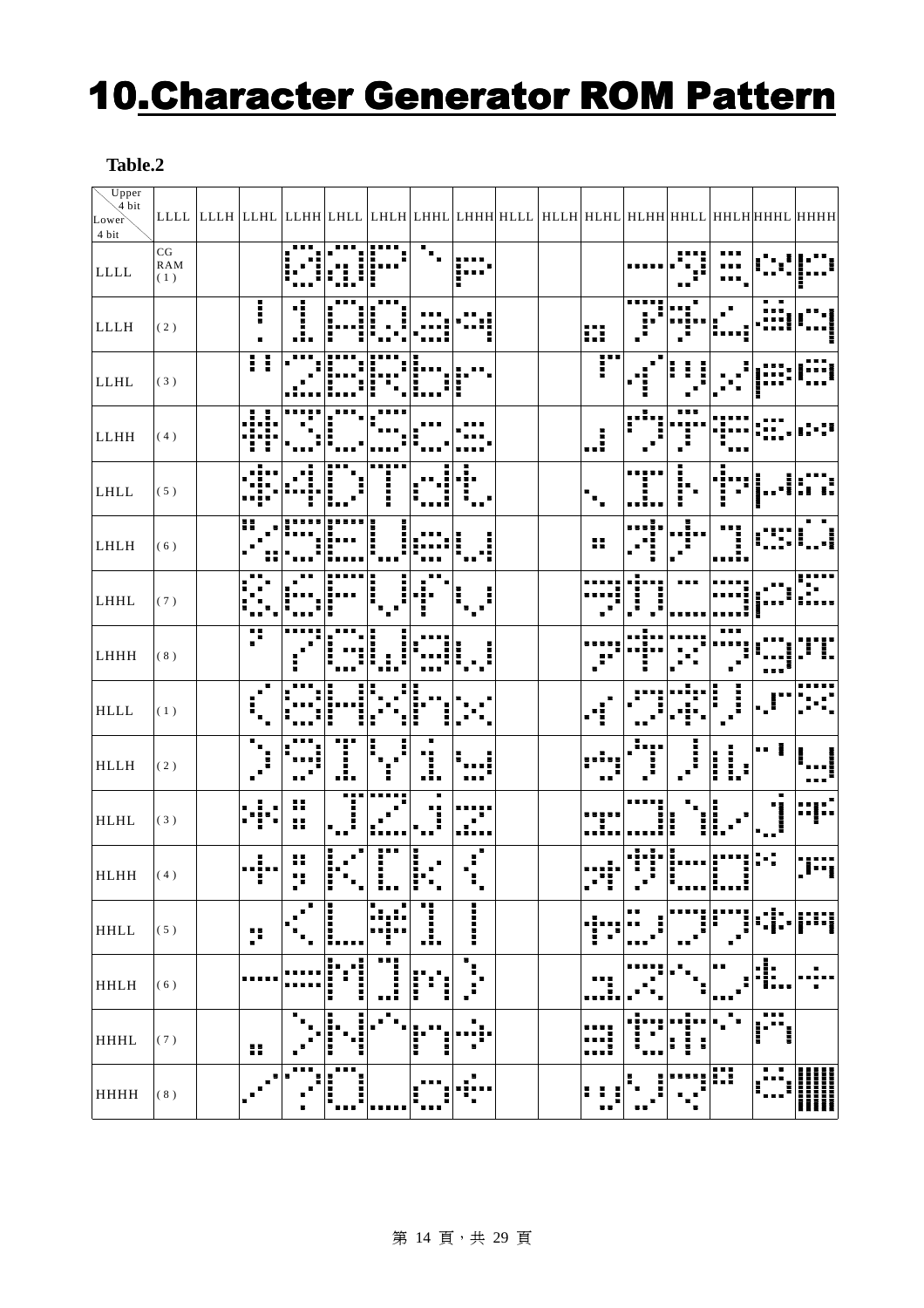### 10.Character Generator ROM Pattern

#### **Table.2**

| $U$ pper<br>4 bit<br>Lower<br>4 bit |                                        | $ \texttt{\texttt{LLL}} $ LLHL $ \texttt{\texttt{LHH}} $ LHHL $ \texttt{\texttt{LHH}} $ LHHL $ \texttt{\texttt{LHH}} $ HLLH $ \texttt{\texttt{HLHH}} $ HLHH $ \texttt{\texttt{HHHH}} $ HHHL $ \texttt{\texttt{HHHH}} $ |    |             |                         |    |                          |              |  |         |    |   |              |                          |        |
|-------------------------------------|----------------------------------------|------------------------------------------------------------------------------------------------------------------------------------------------------------------------------------------------------------------------|----|-------------|-------------------------|----|--------------------------|--------------|--|---------|----|---|--------------|--------------------------|--------|
| LLLL                                | $\mathbf{C}\mathbf{G}$<br>RAM<br>$(1)$ |                                                                                                                                                                                                                        |    |             |                         |    |                          |              |  |         |    |   |              |                          |        |
| LLLH                                | (2)                                    |                                                                                                                                                                                                                        | I  | пi          |                         |    |                          |              |  | ₩       |    |   |              |                          |        |
| LLHL                                | (3)                                    |                                                                                                                                                                                                                        | Η  |             |                         |    |                          |              |  |         |    |   |              |                          |        |
| LLHH                                | $(4)$                                  |                                                                                                                                                                                                                        |    |             |                         |    |                          |              |  |         |    |   |              |                          |        |
| LHLL                                | (5)                                    |                                                                                                                                                                                                                        |    |             |                         |    |                          |              |  |         |    |   |              |                          |        |
| LHLH                                | (6)                                    |                                                                                                                                                                                                                        | 55 |             |                         |    |                          |              |  | H       |    |   |              |                          |        |
| LHHL                                | (7)                                    |                                                                                                                                                                                                                        |    |             |                         |    |                          |              |  |         |    |   |              |                          |        |
| ${\rm LHHH}$                        | $(8)$                                  |                                                                                                                                                                                                                        | H  |             |                         |    |                          |              |  |         |    |   |              |                          |        |
| HLLL                                | $(1)$                                  |                                                                                                                                                                                                                        |    |             | F                       |    |                          |              |  |         |    |   |              |                          |        |
| <b>HLLH</b>                         | (2)                                    |                                                                                                                                                                                                                        |    |             |                         |    | .!.                      |              |  |         |    | Η | <b>HEIRE</b> |                          |        |
| HLHL                                | (3)                                    |                                                                                                                                                                                                                        |    |             |                         |    |                          |              |  |         |    |   |              |                          |        |
| HLHH                                | (4)                                    |                                                                                                                                                                                                                        | п  | 8<br>п<br>п | H                       | ∎∎ | Ē<br>H<br>$\blacksquare$ | ۰.           |  | H<br>п  |    |   | п            |                          |        |
| HHLL                                | $(\;5\;)$                              |                                                                                                                                                                                                                        | p  |             | i<br>I                  |    | I                        |              |  | H       |    |   |              |                          |        |
| <b>HHLH</b>                         | $(6)$                                  |                                                                                                                                                                                                                        |    |             | п<br>. .<br>Ē<br>I<br>Ī | ┋  | i                        | ٠,<br>г<br>ē |  |         |    |   | . .          | ш<br>н<br>$\blacksquare$ |        |
| <b>HHHL</b>                         | $(\,7\,)$                              |                                                                                                                                                                                                                        | н  | п           |                         |    | i<br>H                   |              |  | H       |    |   |              | ▄▄                       |        |
| <b>HHHH</b>                         | $(\ 8$ )                               |                                                                                                                                                                                                                        |    |             | п                       |    |                          | г            |  | п<br>■■ | п۳ |   | ₩            |                          | ₩<br>Ш |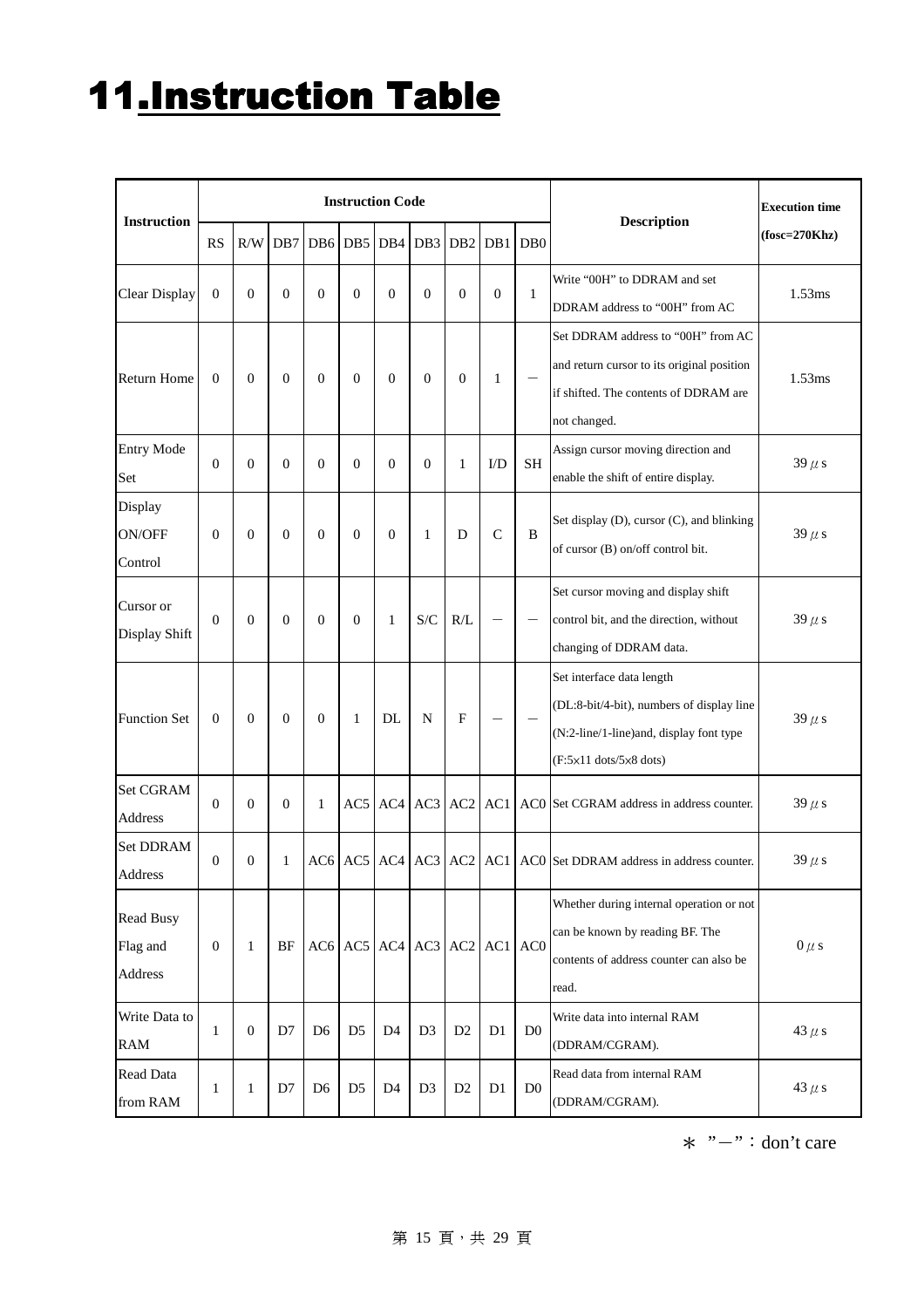# 11.Instruction Table

|                                         |                  |                  |                  |                  |                  | <b>Instruction Code</b>       |                 |                           |                  |                  |                                                                                                                                                                         | <b>Execution time</b> |
|-----------------------------------------|------------------|------------------|------------------|------------------|------------------|-------------------------------|-----------------|---------------------------|------------------|------------------|-------------------------------------------------------------------------------------------------------------------------------------------------------------------------|-----------------------|
| <b>Instruction</b>                      | <b>RS</b>        | R/W              | DB7              | DB <sub>6</sub>  | DB5              | DB4                           | DB <sub>3</sub> | DB <sub>2</sub>           | DB1              | D <sub>B</sub> 0 | <b>Description</b>                                                                                                                                                      | $(fosc=270Khz)$       |
| <b>Clear Display</b>                    | $\boldsymbol{0}$ | $\overline{0}$   | $\overline{0}$   | $\boldsymbol{0}$ | $\boldsymbol{0}$ | $\mathbf{0}$                  | $\theta$        | $\overline{0}$            | $\boldsymbol{0}$ | $\mathbf{1}$     | Write "00H" to DDRAM and set<br>DDRAM address to "00H" from AC                                                                                                          | 1.53ms                |
| <b>Return Home</b>                      | $\mathbf{0}$     | $\theta$         | $\boldsymbol{0}$ | $\boldsymbol{0}$ | $\boldsymbol{0}$ | $\mathbf{0}$                  | $\theta$        | $\mathbf{0}$              | $\mathbf{1}$     |                  | Set DDRAM address to "00H" from AC<br>and return cursor to its original position<br>if shifted. The contents of DDRAM are<br>not changed.                               | 1.53ms                |
| <b>Entry Mode</b><br>Set                | $\mathbf{0}$     | $\mathbf{0}$     | $\overline{0}$   | $\overline{0}$   | $\mathbf{0}$     | $\mathbf{0}$                  | $\theta$        | 1                         | I/D              | <b>SH</b>        | Assign cursor moving direction and<br>enable the shift of entire display.                                                                                               | $39 \mu s$            |
| Display<br>ON/OFF<br>Control            | $\mathbf{0}$     | $\theta$         | $\overline{0}$   | $\theta$         | $\mathbf{0}$     | $\Omega$                      | 1               | D                         | $\mathcal{C}$    | B                | Set display (D), cursor (C), and blinking<br>of cursor (B) on/off control bit.                                                                                          | $39 \mu s$            |
| Cursor or<br>Display Shift              | $\mathbf{0}$     | $\mathbf{0}$     | $\overline{0}$   | $\mathbf{0}$     | $\mathbf{0}$     | 1                             | S/C             | R/L                       |                  |                  | Set cursor moving and display shift<br>control bit, and the direction, without<br>changing of DDRAM data.                                                               | $39 \mu s$            |
| <b>Function Set</b>                     | $\mathbf{0}$     | $\mathbf{0}$     | $\overline{0}$   | $\boldsymbol{0}$ | $\mathbf{1}$     | DL                            | N               | $\boldsymbol{\mathrm{F}}$ |                  |                  | Set interface data length<br>(DL:8-bit/4-bit), numbers of display line<br>(N:2-line/1-line)and, display font type<br>$(F:5\times11 \text{ dots}/5\times8 \text{ dots})$ | $39 \mu s$            |
| Set CGRAM<br>Address                    | $\mathbf{0}$     | $\mathbf{0}$     | $\overline{0}$   | 1                | AC5              | AC4                           | AC3             | AC <sub>2</sub>           | AC1              |                  | AC0 Set CGRAM address in address counter.                                                                                                                               | $39 \mu s$            |
| <b>Set DDRAM</b><br>Address             | $\theta$         | $\mathbf{0}$     | 1                |                  |                  | $AC6$ $AC5$ $AC4$ $AC3$ $AC2$ |                 |                           | AC1              |                  | AC0 Set DDRAM address in address counter.                                                                                                                               | $39 \mu s$            |
| <b>Read Busy</b><br>Flag and<br>Address | $\boldsymbol{0}$ | $\mathbf{1}$     | BF               |                  |                  | $AC6$ $AC5$ $AC4$ $AC3$ $AC2$ |                 |                           | AC1              | AC <sub>0</sub>  | Whether during internal operation or not<br>can be known by reading BF. The<br>contents of address counter can also be<br>read.                                         | $0 \mu s$             |
| Write Data to<br><b>RAM</b>             | 1                | $\boldsymbol{0}$ | D7               | D <sub>6</sub>   | D <sub>5</sub>   | D <sub>4</sub>                | D <sub>3</sub>  | D2                        | D1               | D <sub>0</sub>   | Write data into internal RAM<br>(DDRAM/CGRAM).                                                                                                                          | 43 $\mu$ s            |
| <b>Read Data</b><br>from RAM            | 1                | 1                | D7               | D <sub>6</sub>   | D <sub>5</sub>   | D <sub>4</sub>                | D <sub>3</sub>  | D2                        | D1               | D <sub>0</sub>   | Read data from internal RAM<br>(DDRAM/CGRAM).                                                                                                                           | 43 $\mu$ s            |

 $*$  "-": don't care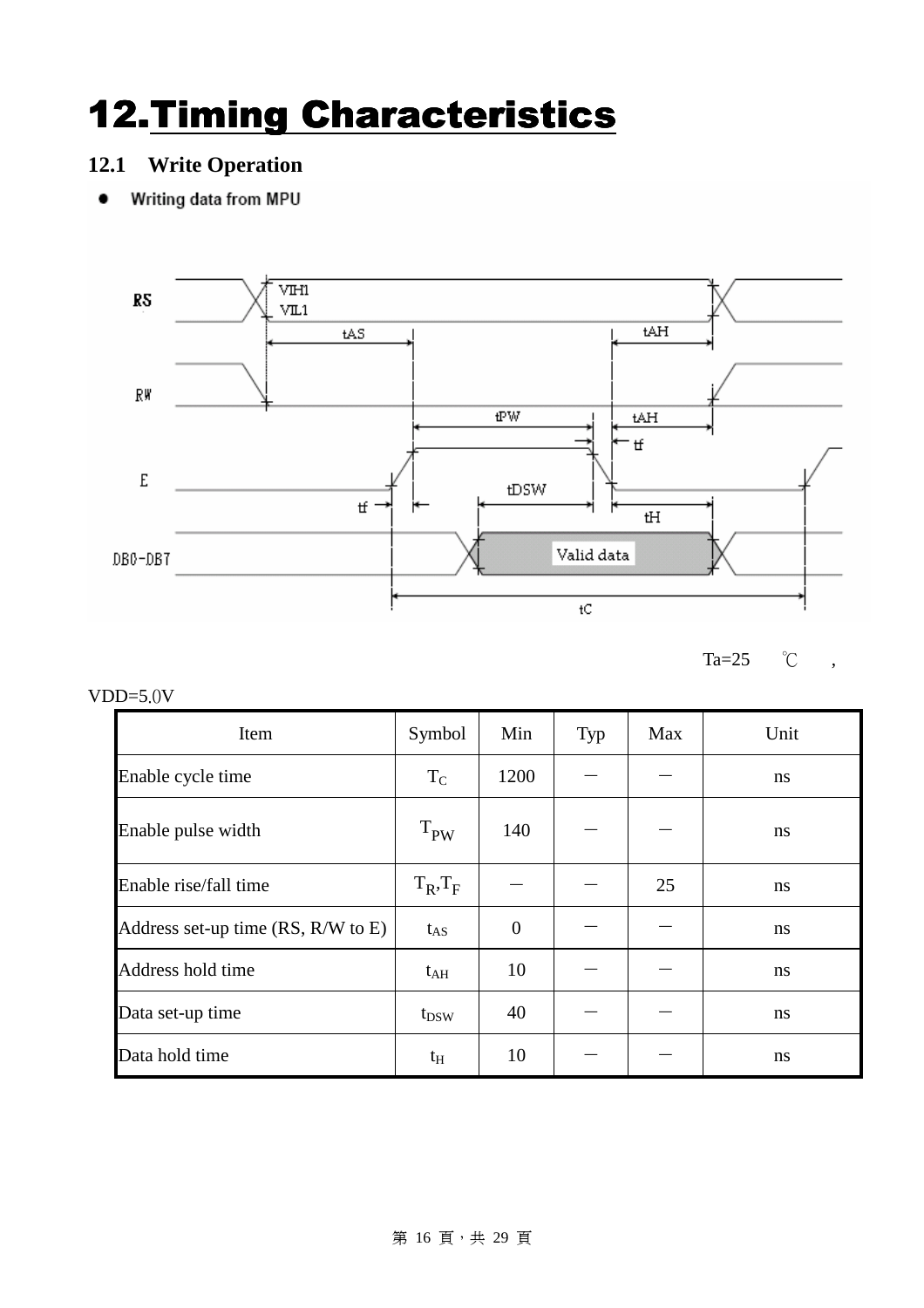## 12. Timing Characteristics

#### **12.1 Write Operation**

• Writing data from MPU



Ta=25 ℃ ,

VDD=5.0V

| Item                               | Symbol        | Min            | Typ | Max | Unit |
|------------------------------------|---------------|----------------|-----|-----|------|
| Enable cycle time                  | $T_{C}$       | 1200           |     |     | ns   |
| Enable pulse width                 | $T_{PW}$      | 140            |     |     | ns   |
| Enable rise/fall time              | $T_R$ , $T_F$ |                |     | 25  | ns   |
| Address set-up time (RS, R/W to E) | $t_{AS}$      | $\overline{0}$ |     |     | ns   |
| Address hold time                  | $t_{\rm AH}$  | 10             |     |     | ns   |
| Data set-up time                   | $t_{DSW}$     | 40             |     |     | ns   |
| Data hold time                     | $t_{\rm H}$   | 10             |     |     | ns   |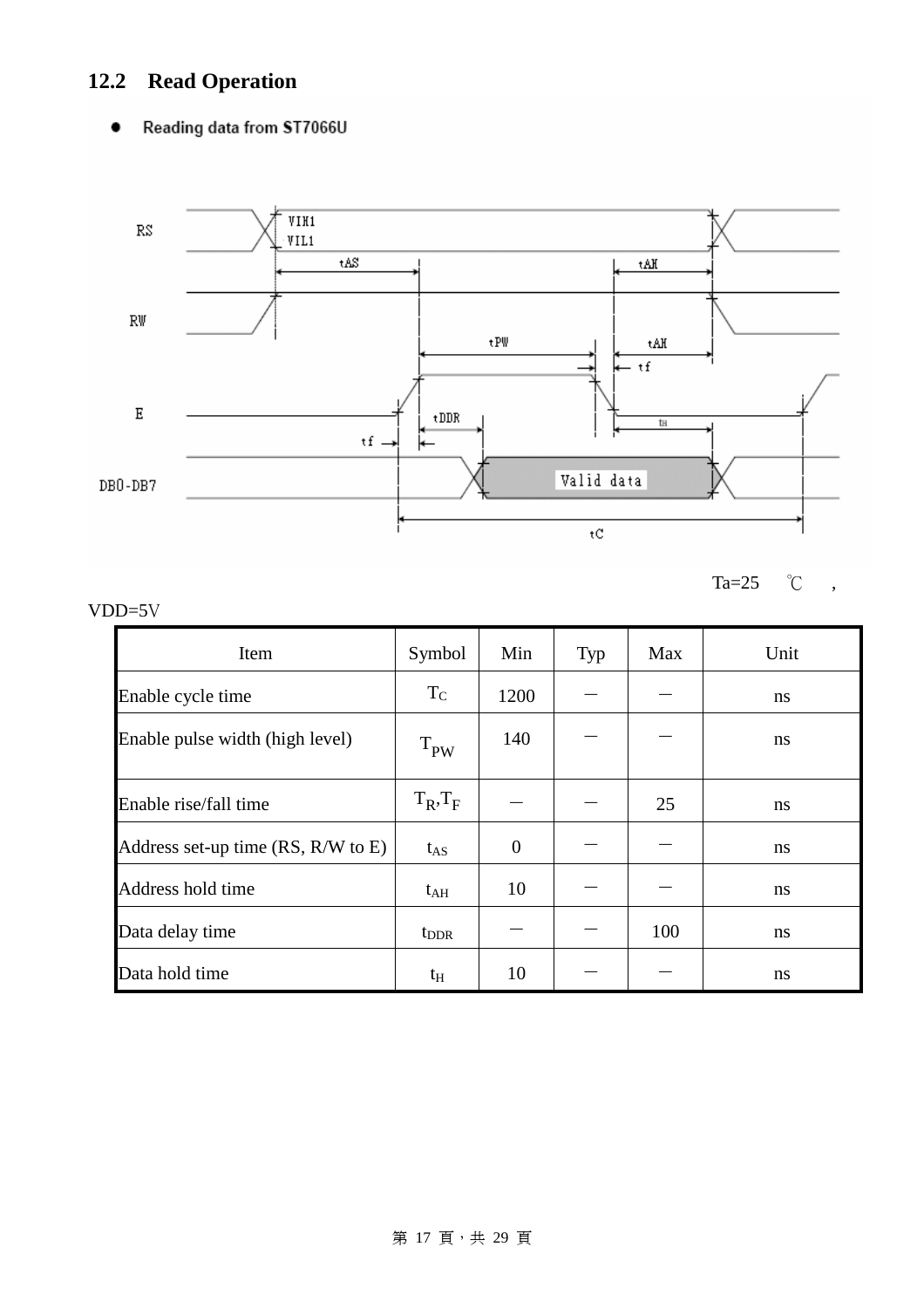### **12.2 Read Operation**

#### Reading data from ST7066U  $\bullet$



 $Ta=25$   $\degree$ C ,

#### VDD=5V

| Item                               | Symbol        | Min            | Typ | Max | Unit |
|------------------------------------|---------------|----------------|-----|-----|------|
| Enable cycle time                  | $T_{C}$       | 1200           |     |     | ns   |
| Enable pulse width (high level)    | $T_{PW}$      | 140            |     |     | ns   |
| Enable rise/fall time              | $T_R$ , $T_F$ |                |     | 25  | ns   |
| Address set-up time (RS, R/W to E) | $t_{AS}$      | $\overline{0}$ |     |     | ns   |
| Address hold time                  | $t_{\rm AH}$  | 10             |     |     | ns   |
| Data delay time                    | $t_{\rm DDR}$ |                |     | 100 | ns   |
| Data hold time                     | $t_{\rm H}$   | 10             |     |     | ns   |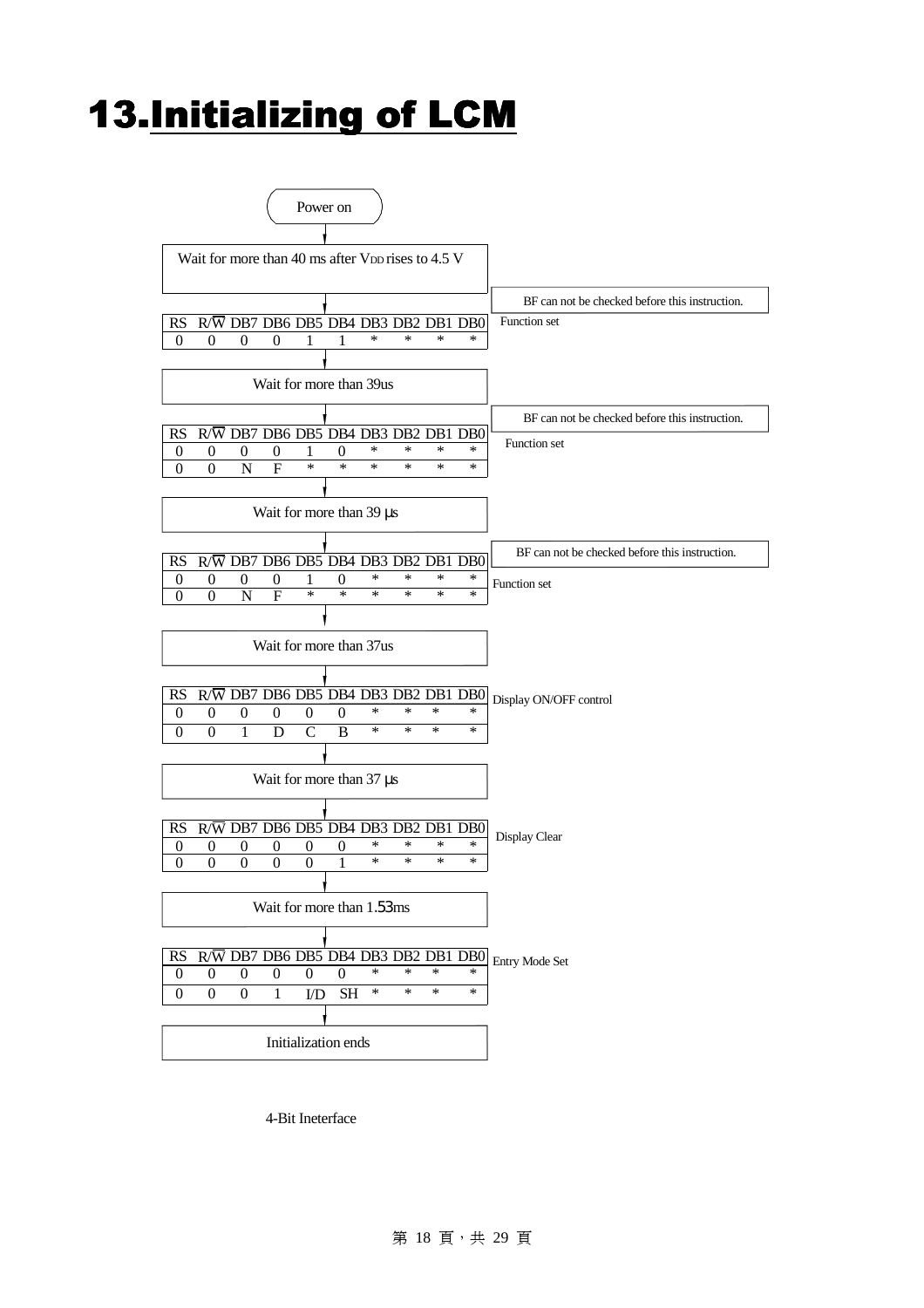### 13. Initializing of LCM

| Power on                                                                                                                             |                                                |
|--------------------------------------------------------------------------------------------------------------------------------------|------------------------------------------------|
| Wait for more than 40 ms after V <sub>DD</sub> rises to 4.5 V                                                                        |                                                |
|                                                                                                                                      | BF can not be checked before this instruction. |
| $R/\overline{W}$ DB7 DB6 DB5 DB4 DB3 DB2 DB1 DB0<br>RS                                                                               | Function set                                   |
| *<br>$\ast$<br>$\ast$<br>$\theta$<br>$\overline{0}$<br>$\theta$<br>$\theta$<br>∗<br>1<br>1                                           |                                                |
|                                                                                                                                      |                                                |
| Wait for more than 39us                                                                                                              |                                                |
|                                                                                                                                      | BF can not be checked before this instruction. |
| R/W DB7 DB6 DB5 DB4 DB3 DB2 DB1 DB0<br>RS                                                                                            |                                                |
| *<br>*<br>$\ast$<br>*<br>$\boldsymbol{0}$<br>$\boldsymbol{0}$<br>$\boldsymbol{0}$<br>0<br>$\boldsymbol{0}$<br>1                      | Function set                                   |
| $\ast$<br>$\overline{F}$<br>$\ast$<br>N<br>*<br>*<br>∗<br>∗<br>$\Omega$<br>0                                                         |                                                |
|                                                                                                                                      |                                                |
| Wait for more than 39 µs                                                                                                             |                                                |
|                                                                                                                                      |                                                |
| R/W DB7 DB6 DB5 DB4 DB3 DB2 DB1<br>RS<br>DB <sub>0</sub>                                                                             | BF can not be checked before this instruction. |
| *<br>$\ast$<br>$\ast$<br>$\ast$<br>$\boldsymbol{0}$<br>0<br>$\overline{0}$<br>0<br>1<br>$\overline{0}$                               | Function set                                   |
| $\ast$<br>$\overline{F}$<br>$\ast$<br>$\boldsymbol{0}$<br>$\mathbf N$<br>*<br>∗<br>*<br>∗<br>$\theta$                                |                                                |
|                                                                                                                                      |                                                |
| Wait for more than 37us                                                                                                              |                                                |
|                                                                                                                                      |                                                |
| $R/\overline{W}$ DB7 DB6 DB5 DB4 DB3 DB2 DB1 DB0<br>RS                                                                               |                                                |
| *<br>*<br>$\ast$<br>∗<br>$\boldsymbol{0}$<br>$\boldsymbol{0}$<br>$\boldsymbol{0}$<br>$\boldsymbol{0}$<br>$\mathbf{0}$<br>0           | Display ON/OFF control                         |
| $\ast$<br>$\ast$<br>$\ast$<br>$\mathsf{C}$<br>B<br>∗<br>$\Omega$<br>1<br>D<br>0                                                      |                                                |
|                                                                                                                                      |                                                |
|                                                                                                                                      |                                                |
| Wait for more than 37 µs                                                                                                             |                                                |
|                                                                                                                                      |                                                |
| R/W DB7 DB6 DB5 DB4 DB3 DB2 DB1 DB0<br>RS                                                                                            | Display Clear                                  |
| *<br>*<br>∗<br>*<br>0<br>$\boldsymbol{0}$<br>$\boldsymbol{0}$<br>$\boldsymbol{0}$<br>$\boldsymbol{0}$<br>0<br>*<br>$\ast$<br>*<br>∗  |                                                |
| $\boldsymbol{0}$<br>$\overline{0}$<br>$\theta$<br>$\overline{0}$<br>1<br>0                                                           |                                                |
|                                                                                                                                      |                                                |
| Wait for more than 1.53 ms                                                                                                           |                                                |
|                                                                                                                                      |                                                |
| $R/\overline{W}$ DB7 DB6 DB5 DB4 DB3 DB2 DB1 DB0<br><b>RS</b>                                                                        | Entry Mode Set                                 |
| *<br>$\ast$<br>$\ast$<br>$\boldsymbol{0}$<br>∗<br>$\boldsymbol{0}$<br>$\theta$<br>$\boldsymbol{0}$<br>$\boldsymbol{0}$<br>0          |                                                |
|                                                                                                                                      |                                                |
| $\ast$<br>$\ast$<br>*<br>$\ast$<br>$\boldsymbol{0}$<br>$\boldsymbol{0}$<br>1<br>$\operatorname{SH}$<br>$\boldsymbol{0}$<br>$\rm I/D$ |                                                |
|                                                                                                                                      |                                                |
| Initialization ends                                                                                                                  |                                                |

4-Bit Ineterface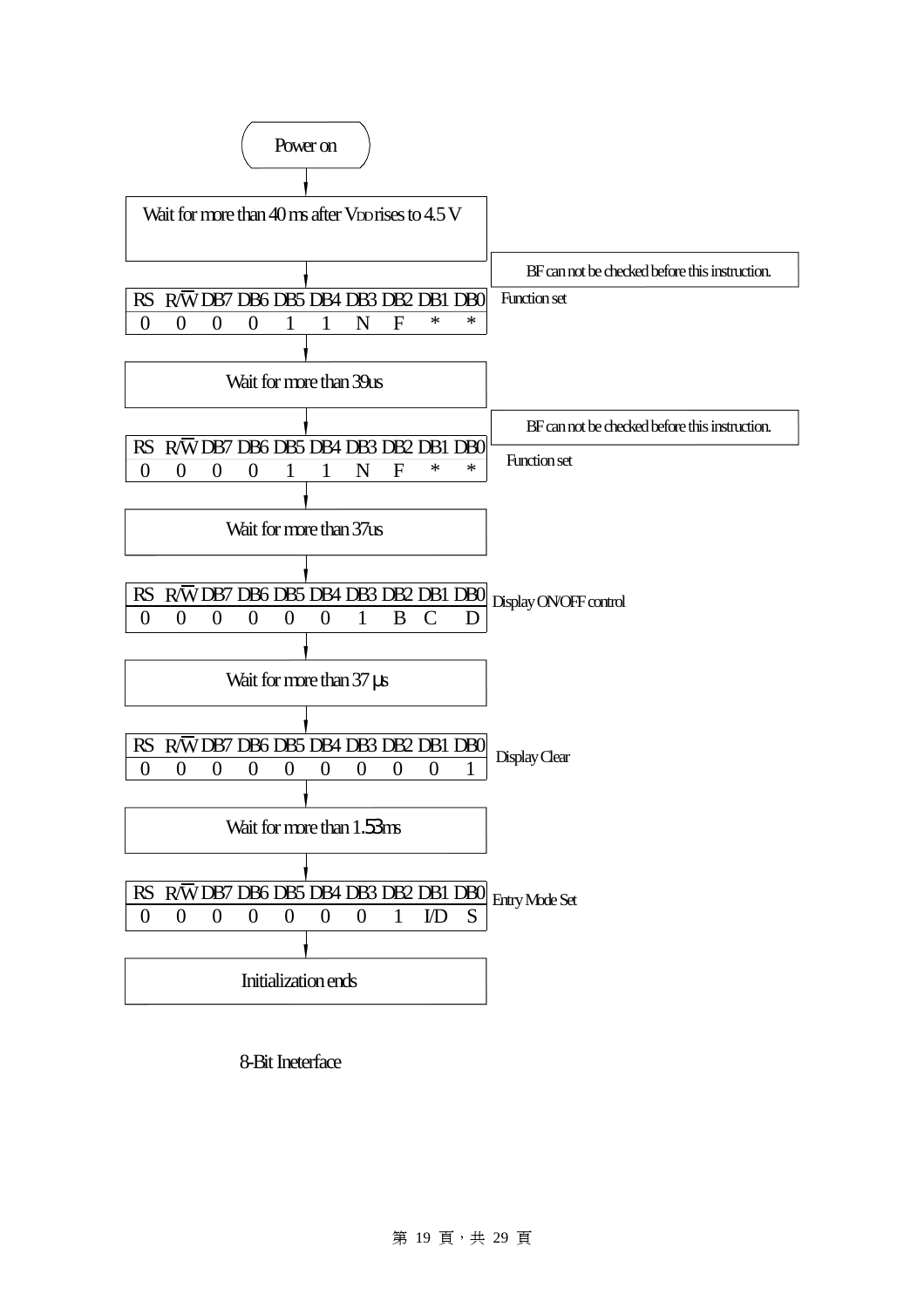

8-Bit Ineterface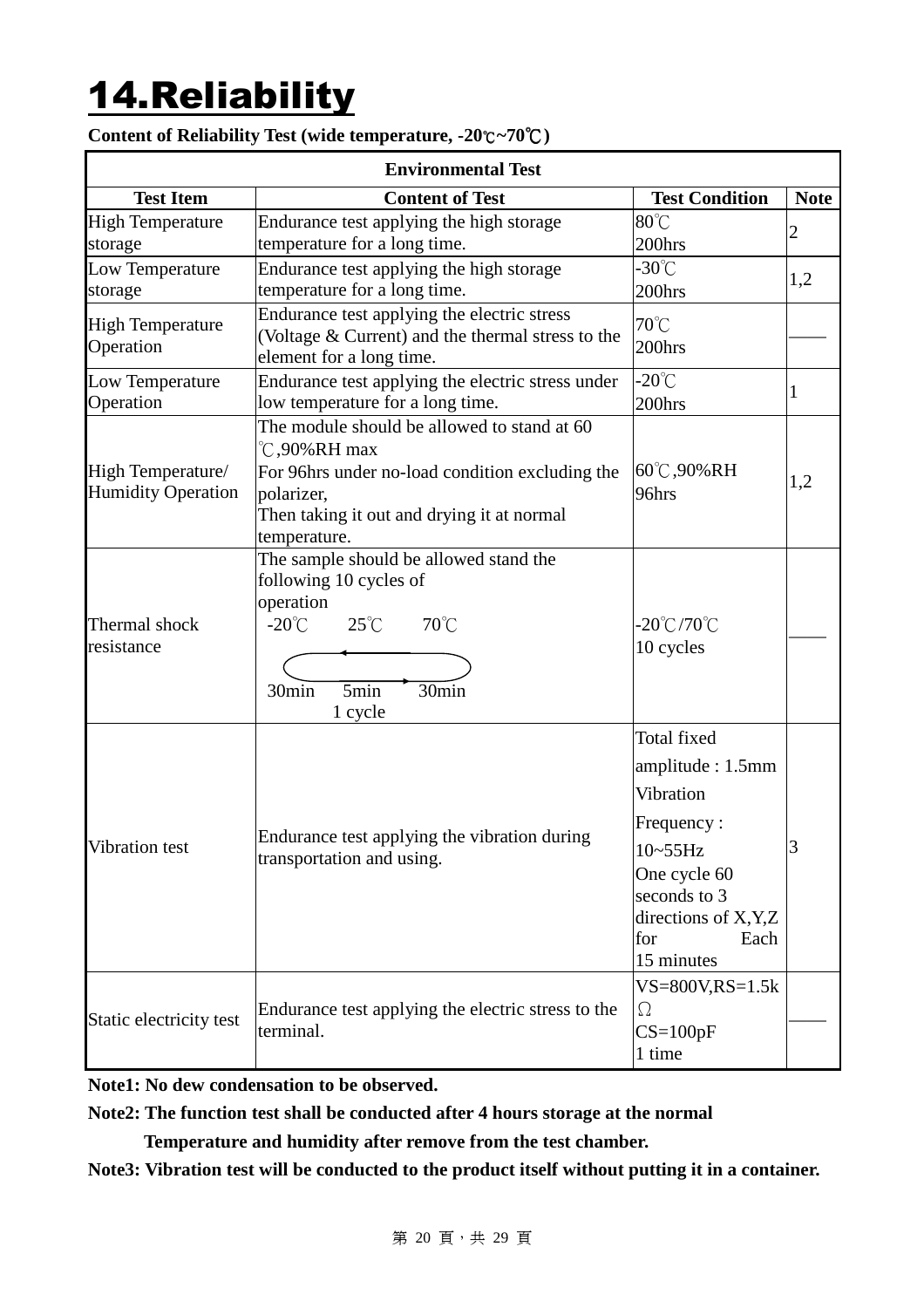# 14.Reliability

|                           | <b>Environmental Test</b>                                            |                                    |                |
|---------------------------|----------------------------------------------------------------------|------------------------------------|----------------|
| <b>Test Item</b>          | <b>Content of Test</b>                                               | <b>Test Condition</b>              | <b>Note</b>    |
| <b>High Temperature</b>   | Endurance test applying the high storage                             | $80^{\circ}$ C                     | $\overline{c}$ |
| storage                   | temperature for a long time.                                         | 200hrs                             |                |
| Low Temperature           | Endurance test applying the high storage                             | $-30^{\circ}$ C                    | 1,2            |
| storage                   | temperature for a long time.                                         | 200hrs                             |                |
| <b>High Temperature</b>   | Endurance test applying the electric stress                          | 70°C                               |                |
| Operation                 | (Voltage & Current) and the thermal stress to the                    | 200hrs                             |                |
|                           | element for a long time.                                             |                                    |                |
| Low Temperature           | Endurance test applying the electric stress under                    | $-20^{\circ}$ C                    | 1              |
| Operation                 | low temperature for a long time.                                     | 200hrs                             |                |
|                           | The module should be allowed to stand at 60<br>$\degree$ C,90%RH max |                                    |                |
| High Temperature/         | For 96hrs under no-load condition excluding the                      | 60°C,90%RH                         |                |
| <b>Humidity Operation</b> | polarizer,                                                           | 96hrs                              | 1,2            |
|                           | Then taking it out and drying it at normal                           |                                    |                |
|                           | temperature.                                                         |                                    |                |
|                           | The sample should be allowed stand the                               |                                    |                |
|                           | following 10 cycles of                                               |                                    |                |
|                           | operation                                                            |                                    |                |
| Thermal shock             | $-20^{\circ}$ C<br>$25^{\circ}$ C<br>$70^{\circ}$ C                  | $-20^{\circ}$ C/70 $^{\circ}$ C    |                |
| resistance                |                                                                      | 10 cycles                          |                |
|                           | 5min<br>30min<br>30min                                               |                                    |                |
|                           | 1 cycle                                                              |                                    |                |
|                           |                                                                      | <b>Total fixed</b>                 |                |
|                           |                                                                      | amplitude: 1.5mm                   |                |
|                           |                                                                      | Vibration                          |                |
|                           |                                                                      |                                    |                |
|                           | Endurance test applying the vibration during                         | Frequency:                         |                |
| Vibration test            | transportation and using.                                            | $10-55$ Hz                         | 3              |
|                           |                                                                      | One cycle 60                       |                |
|                           |                                                                      | seconds to 3                       |                |
|                           |                                                                      | directions of X,Y,Z<br>for<br>Each |                |
|                           |                                                                      | 15 minutes                         |                |
|                           |                                                                      | $VS = 800V$ , $RS = 1.5k$          |                |
|                           | Endurance test applying the electric stress to the                   | $\Omega$                           |                |
| Static electricity test   | terminal.                                                            | $CS=100pF$                         |                |
|                           |                                                                      | 1 time                             |                |

**Content of Reliability Test (wide temperature, -20**℃**~70**℃**)** 

**Note1: No dew condensation to be observed.** 

**Note2: The function test shall be conducted after 4 hours storage at the normal** 

 **Temperature and humidity after remove from the test chamber.** 

**Note3: Vibration test will be conducted to the product itself without putting it in a container.**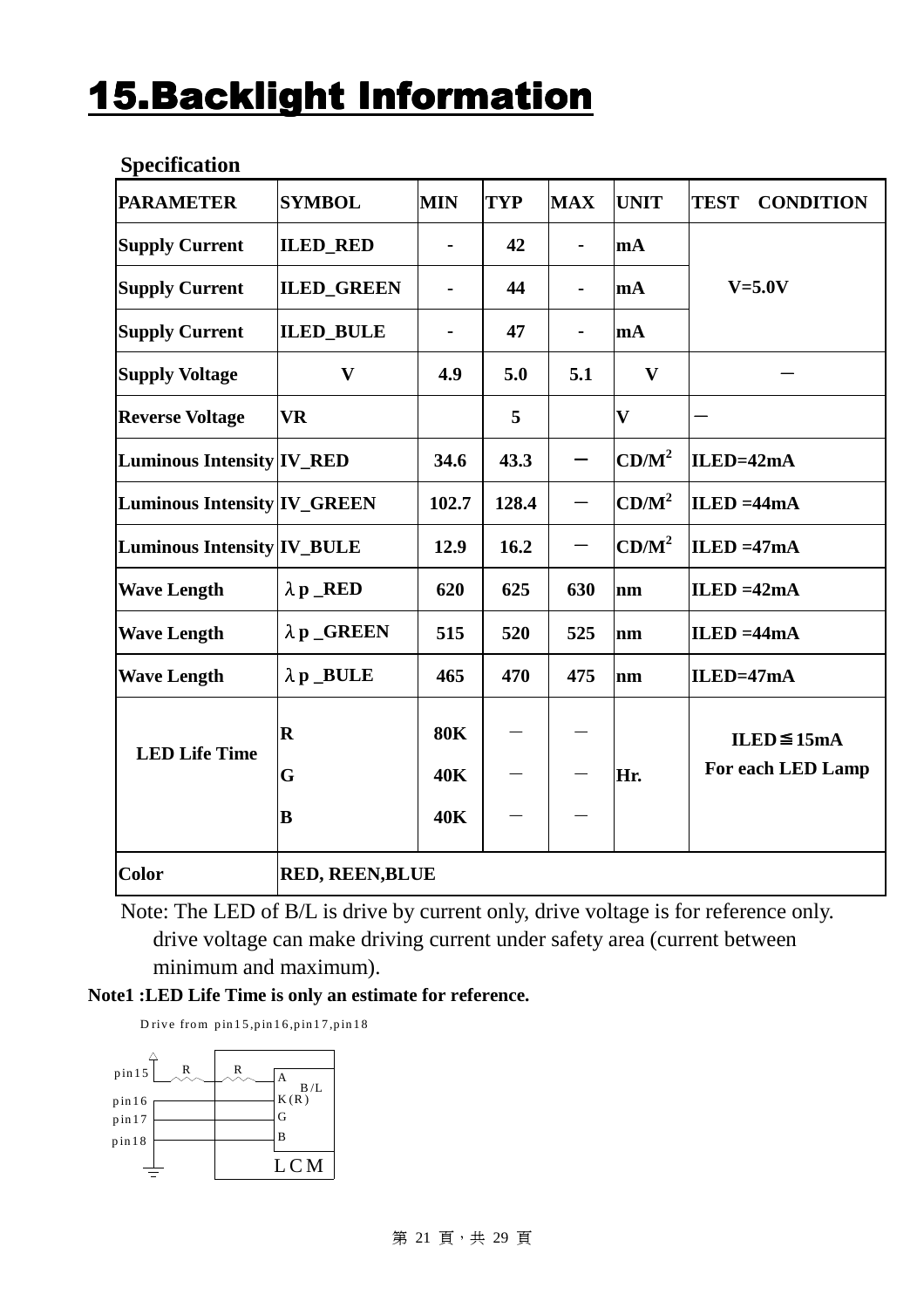# **15.Backlight Information**

| <b>PARAMETER</b>                   | <b>SYMBOL</b>           | <b>MIN</b> | <b>TYP</b> | <b>MAX</b>     | <b>UNIT</b>       | <b>TEST</b><br><b>CONDITION</b> |
|------------------------------------|-------------------------|------------|------------|----------------|-------------------|---------------------------------|
| <b>Supply Current</b>              | <b>ILED_RED</b>         |            | 42         | $\blacksquare$ | mA                |                                 |
| <b>Supply Current</b>              | <b>ILED_GREEN</b>       |            | 44         |                | mA                | $V=5.0V$                        |
| <b>Supply Current</b>              | <b>ILED_BULE</b>        |            | 47         | $\blacksquare$ | mA                |                                 |
| <b>Supply Voltage</b>              | $\mathbf{V}$            | 4.9        | 5.0        | 5.1            | $\mathbf{V}$      |                                 |
| <b>Reverse Voltage</b>             | <b>VR</b>               |            | 5          |                | $\mathbf{V}$      |                                 |
| <b>Luminous Intensity IV_RED</b>   |                         | 34.6       | 43.3       |                | $CD/M^2$          | ILED=42mA                       |
| <b>Luminous Intensity IV_GREEN</b> |                         | 102.7      | 128.4      | —              | CD/M <sup>2</sup> | $ILED = 44mA$                   |
| <b>Luminous Intensity IV_BULE</b>  |                         | 12.9       | 16.2       |                | $CD/M^2$          | $ILED = 47mA$                   |
| <b>Wave Length</b>                 | $\lambda p$ RED         | 620        | 625        | 630            | nm                | ILED = $42mA$                   |
| <b>Wave Length</b>                 | $\lambda$ p _GREEN      | 515        | 520        | 525            | nm                | $ILED = 44mA$                   |
| <b>Wave Length</b>                 | $\lambda$ p _BULE       | 465        | 470        | 475            | nm                | $ILED=47mA$                     |
|                                    | $\overline{\mathbf{R}}$ | <b>80K</b> |            |                |                   | ILED $\leq$ 15mA                |
| <b>LED Life Time</b>               | G                       | <b>40K</b> |            |                | Hr.               | For each LED Lamp               |
|                                    | B                       | <b>40K</b> |            |                |                   |                                 |
| <b>Color</b>                       | <b>RED, REEN, BLUE</b>  |            |            |                |                   |                                 |

#### **Specification**

Note: The LED of B/L is drive by current only, drive voltage is for reference only. drive voltage can make driving current under safety area (current between minimum and maximum).

**Note1 :LED Life Time is only an estimate for reference.** 

D rive from  $pin 15$ ,  $pin 16$ ,  $pin 17$ ,  $pin 18$ 

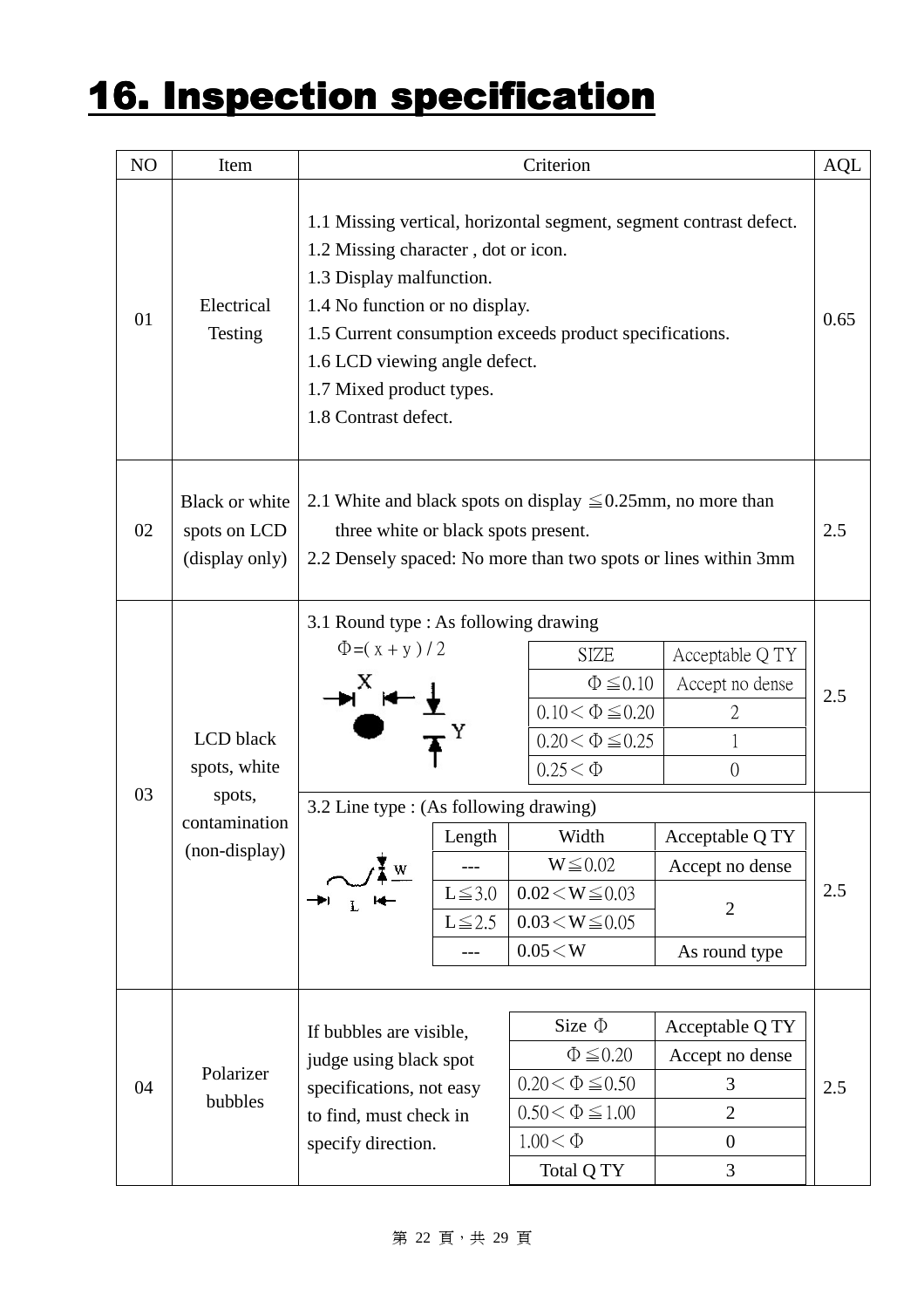# 16. Inspection specification

| NO | Item                                                                  |                                                                                                                                                                                                                                                                                                                         |                                                                                                                                                                            | Criterion                                                                                                                                                                                         |                                                                                                                                                 | AQL        |  |  |  |
|----|-----------------------------------------------------------------------|-------------------------------------------------------------------------------------------------------------------------------------------------------------------------------------------------------------------------------------------------------------------------------------------------------------------------|----------------------------------------------------------------------------------------------------------------------------------------------------------------------------|---------------------------------------------------------------------------------------------------------------------------------------------------------------------------------------------------|-------------------------------------------------------------------------------------------------------------------------------------------------|------------|--|--|--|
| 01 | Electrical<br>Testing                                                 | 1.1 Missing vertical, horizontal segment, segment contrast defect.<br>1.2 Missing character, dot or icon.<br>1.3 Display malfunction.<br>1.4 No function or no display.<br>1.5 Current consumption exceeds product specifications.<br>1.6 LCD viewing angle defect.<br>1.7 Mixed product types.<br>1.8 Contrast defect. |                                                                                                                                                                            |                                                                                                                                                                                                   |                                                                                                                                                 |            |  |  |  |
| 02 | Black or white<br>spots on LCD<br>(display only)                      |                                                                                                                                                                                                                                                                                                                         | 2.1 White and black spots on display $\leq 0.25$ mm, no more than<br>three white or black spots present.<br>2.2 Densely spaced: No more than two spots or lines within 3mm |                                                                                                                                                                                                   |                                                                                                                                                 |            |  |  |  |
| 03 | LCD black<br>spots, white<br>spots,<br>contamination<br>(non-display) | 3.1 Round type : As following drawing<br>$\Phi = (x + y)/2$<br>3.2 Line type : (As following drawing)<br>W                                                                                                                                                                                                              | Length<br>$L \le 3.0$<br>$L \le 2.5$<br>$---$                                                                                                                              | <b>SIZE</b><br>$\Phi \leq 0.10$<br>$0.10<\Phi\!\leq\!0.20$<br>$0.20 < \Phi \le 0.25$<br>$0.25 < \Phi$<br>Width<br>$W \leq 0.02$<br>$0.02 \le W \le 0.03$<br>$0.03 \le W \le 0.05$<br>$0.05\!<\!W$ | Acceptable Q TY<br>Accept no dense<br>$\overline{2}$<br>$\overline{0}$<br>Acceptable Q TY<br>Accept no dense<br>$\overline{2}$<br>As round type | 2.5<br>2.5 |  |  |  |
| 04 | Polarizer<br>bubbles                                                  | If bubbles are visible,<br>judge using black spot<br>specifications, not easy<br>to find, must check in<br>specify direction.                                                                                                                                                                                           |                                                                                                                                                                            | Size $\Phi$<br>$\Phi \leq 0.20$<br>$0.20<\Phi\!\leq\!0.50$<br>$0.50 < \Phi \le 1.00$<br>$1.00 < \Phi$<br>Total Q TY                                                                               | Acceptable Q TY<br>Accept no dense<br>3<br>$\overline{2}$<br>$\overline{0}$<br>3                                                                | 2.5        |  |  |  |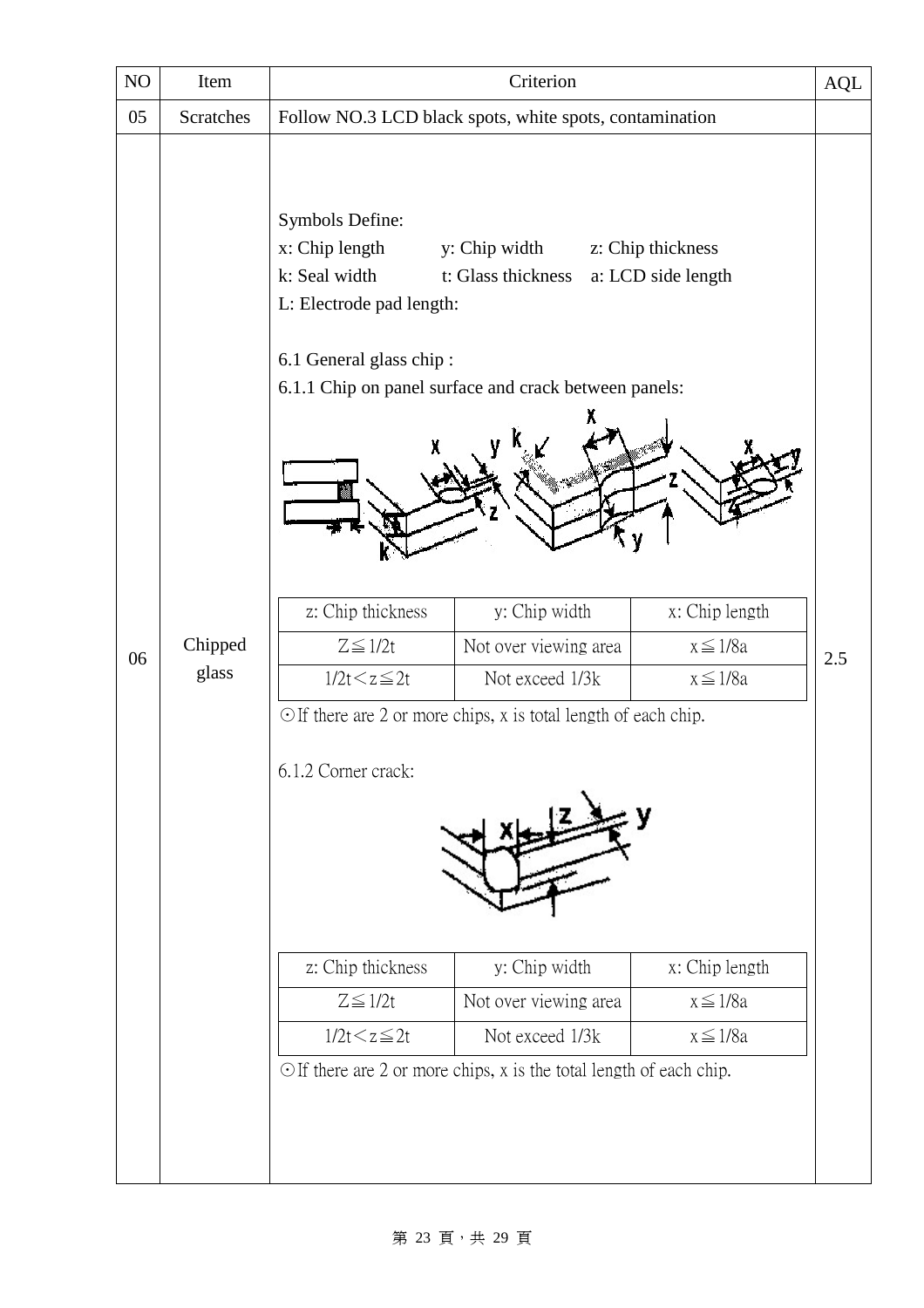| Item             |                                                                                                                | Criterion                                                 |                                                                                            | AQL                                                                                                                                                                                                                                                                                                               |
|------------------|----------------------------------------------------------------------------------------------------------------|-----------------------------------------------------------|--------------------------------------------------------------------------------------------|-------------------------------------------------------------------------------------------------------------------------------------------------------------------------------------------------------------------------------------------------------------------------------------------------------------------|
| <b>Scratches</b> |                                                                                                                |                                                           |                                                                                            |                                                                                                                                                                                                                                                                                                                   |
| Chipped<br>glass | Symbols Define:<br>x: Chip length<br>k: Seal width<br>z: Chip thickness<br>$Z \leq 1/2t$<br>$1/2t < z \leq 2t$ | y: Chip width<br>Not over viewing area<br>Not exceed 1/3k | x: Chip length<br>$x \leq 1/8a$<br>$x \leq 1/8a$                                           | 2.5                                                                                                                                                                                                                                                                                                               |
|                  | z: Chip thickness<br>$Z \leq 1/2t$<br>$1/2t < z \leq 2t$                                                       | y: Chip width<br>Not over viewing area<br>Not exceed 1/3k | x: Chip length<br>$x \leq 1/8a$<br>$x \leq 1/8a$                                           |                                                                                                                                                                                                                                                                                                                   |
|                  |                                                                                                                | 6.1.2 Corner crack:                                       | y: Chip width<br>t: Glass thickness<br>L: Electrode pad length:<br>6.1 General glass chip: | Follow NO.3 LCD black spots, white spots, contamination<br>z: Chip thickness<br>a: LCD side length<br>6.1.1 Chip on panel surface and crack between panels:<br>$\odot$ If there are 2 or more chips, x is total length of each chip.<br>$\odot$ If there are 2 or more chips, x is the total length of each chip. |

#### 第 23 頁, 共 29 頁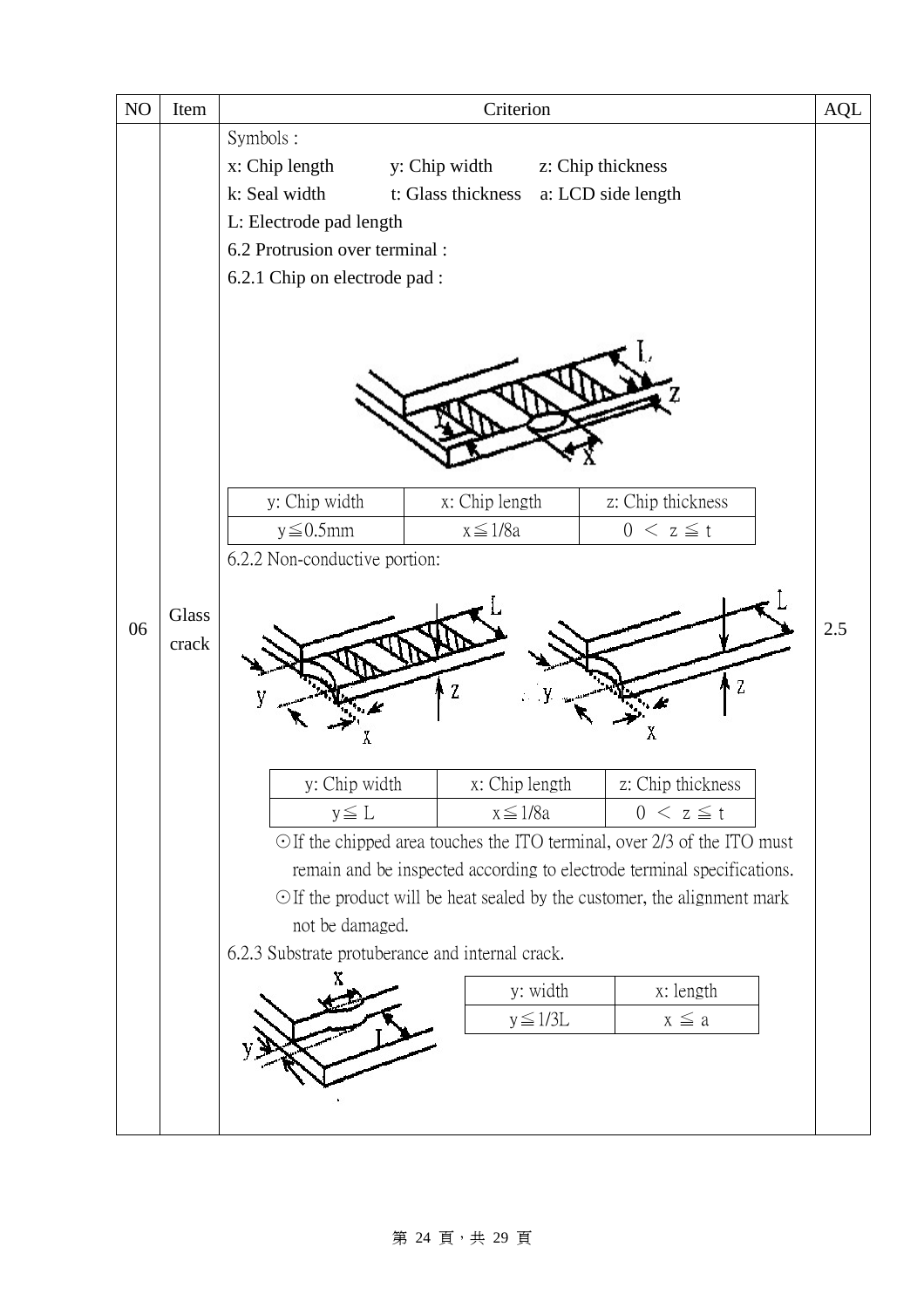

#### 第 24 頁, 共 29 頁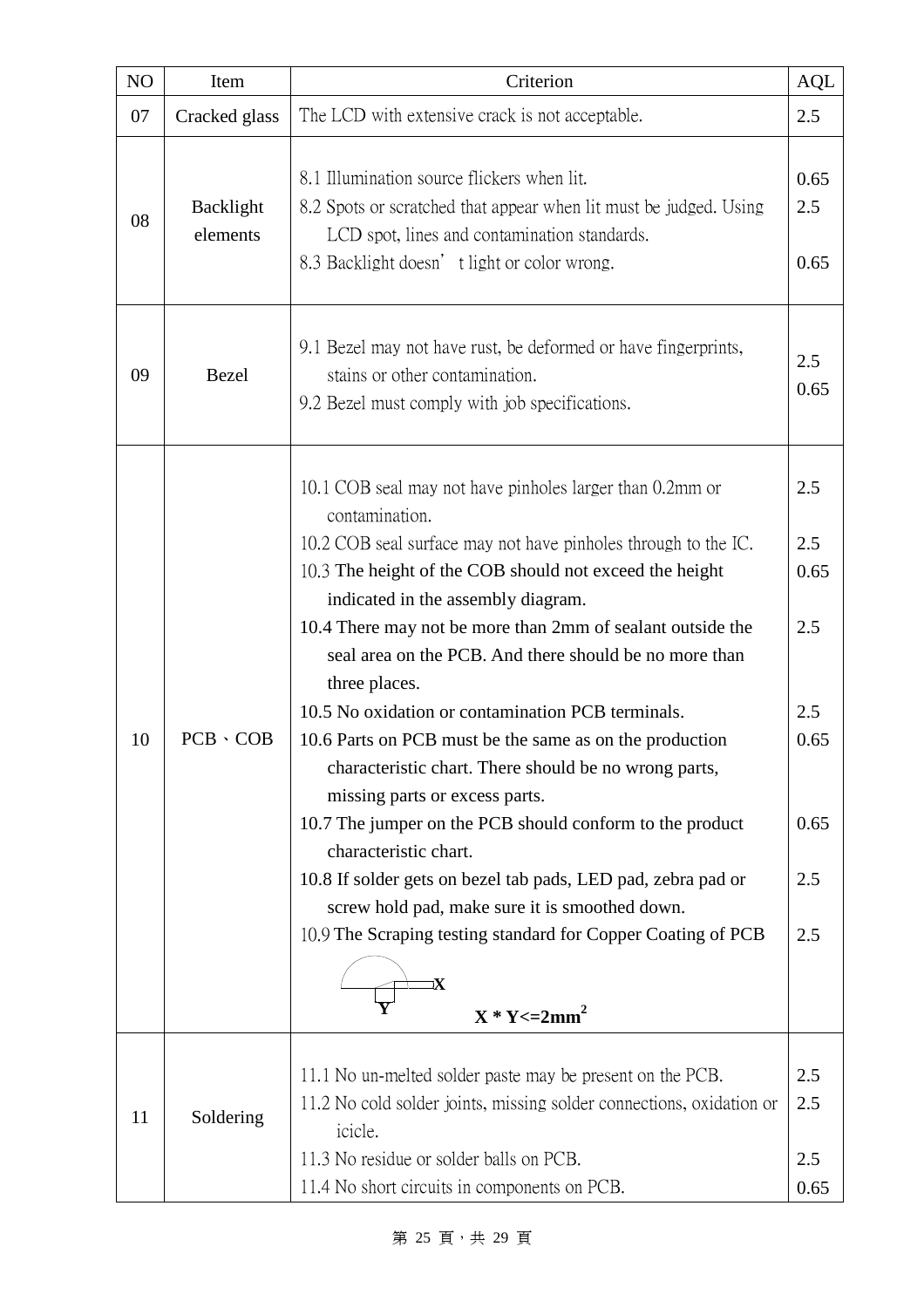| N <sub>O</sub> | Item                  | Criterion                                                                                                                                                                                                                                                                                                                                                                                                                                                                                                                                                                                                                                                                                                                                                                                                                                                                                           | <b>AQL</b>                                                     |
|----------------|-----------------------|-----------------------------------------------------------------------------------------------------------------------------------------------------------------------------------------------------------------------------------------------------------------------------------------------------------------------------------------------------------------------------------------------------------------------------------------------------------------------------------------------------------------------------------------------------------------------------------------------------------------------------------------------------------------------------------------------------------------------------------------------------------------------------------------------------------------------------------------------------------------------------------------------------|----------------------------------------------------------------|
| 07             | Cracked glass         | The LCD with extensive crack is not acceptable.                                                                                                                                                                                                                                                                                                                                                                                                                                                                                                                                                                                                                                                                                                                                                                                                                                                     | 2.5                                                            |
| 08             | Backlight<br>elements | 8.1 Illumination source flickers when lit.<br>8.2 Spots or scratched that appear when lit must be judged. Using<br>LCD spot, lines and contamination standards.<br>8.3 Backlight doesn' t light or color wrong.                                                                                                                                                                                                                                                                                                                                                                                                                                                                                                                                                                                                                                                                                     | 0.65<br>2.5<br>0.65                                            |
| 09             | <b>Bezel</b>          | 9.1 Bezel may not have rust, be deformed or have fingerprints,<br>stains or other contamination.<br>9.2 Bezel must comply with job specifications.                                                                                                                                                                                                                                                                                                                                                                                                                                                                                                                                                                                                                                                                                                                                                  | 2.5<br>0.65                                                    |
| 10             | $PCB \cdot COB$       | 10.1 COB seal may not have pinholes larger than 0.2mm or<br>contamination.<br>10.2 COB seal surface may not have pinholes through to the IC.<br>10.3 The height of the COB should not exceed the height<br>indicated in the assembly diagram.<br>10.4 There may not be more than 2mm of sealant outside the<br>seal area on the PCB. And there should be no more than<br>three places.<br>10.5 No oxidation or contamination PCB terminals.<br>10.6 Parts on PCB must be the same as on the production<br>characteristic chart. There should be no wrong parts,<br>missing parts or excess parts.<br>10.7 The jumper on the PCB should conform to the product<br>characteristic chart.<br>10.8 If solder gets on bezel tab pads, LED pad, zebra pad or<br>screw hold pad, make sure it is smoothed down.<br>10.9 The Scraping testing standard for Copper Coating of PCB<br>Ҡ<br>$X * Y \leq 2mm^2$ | 2.5<br>2.5<br>0.65<br>2.5<br>2.5<br>0.65<br>0.65<br>2.5<br>2.5 |
| 11             | Soldering             | 11.1 No un-melted solder paste may be present on the PCB.<br>11.2 No cold solder joints, missing solder connections, oxidation or<br>icicle.<br>11.3 No residue or solder balls on PCB.<br>11.4 No short circuits in components on PCB.                                                                                                                                                                                                                                                                                                                                                                                                                                                                                                                                                                                                                                                             | 2.5<br>2.5<br>2.5<br>0.65                                      |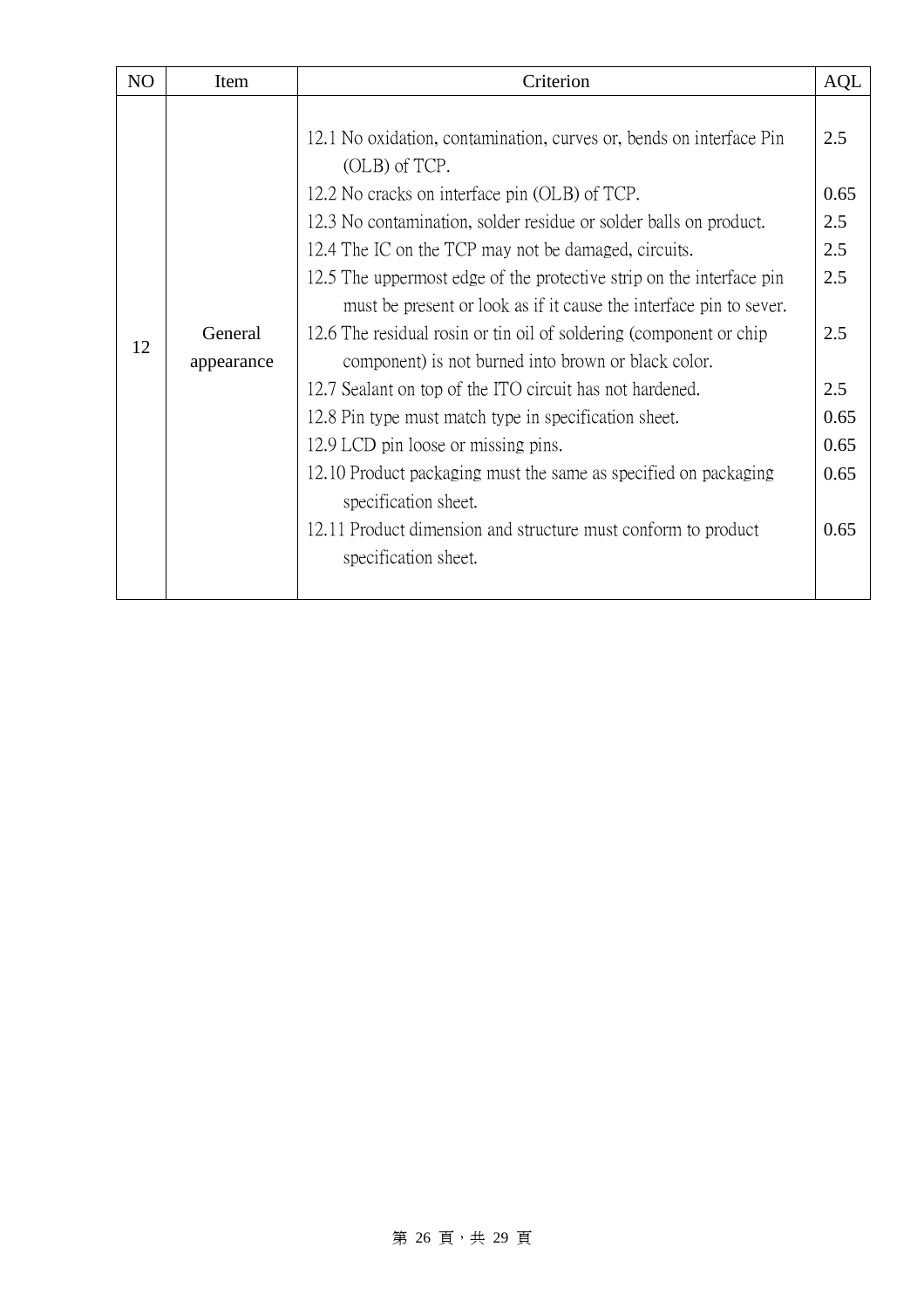| N <sub>O</sub> | Item                  | Criterion                                                                                                                                                                                                                                                                                                                                                                                                                                                                                                                                                                                                 |                                                              |
|----------------|-----------------------|-----------------------------------------------------------------------------------------------------------------------------------------------------------------------------------------------------------------------------------------------------------------------------------------------------------------------------------------------------------------------------------------------------------------------------------------------------------------------------------------------------------------------------------------------------------------------------------------------------------|--------------------------------------------------------------|
| 12             | General<br>appearance | 12.1 No oxidation, contamination, curves or, bends on interface Pin<br>(OLB) of TCP.<br>12.2 No cracks on interface pin (OLB) of TCP.<br>12.3 No contamination, solder residue or solder balls on product.<br>12.4 The IC on the TCP may not be damaged, circuits.<br>12.5 The uppermost edge of the protective strip on the interface pin<br>must be present or look as if it cause the interface pin to sever.<br>12.6 The residual rosin or tin oil of soldering (component or chip<br>component) is not burned into brown or black color.<br>12.7 Sealant on top of the ITO circuit has not hardened. | <b>AQL</b><br>2.5<br>0.65<br>2.5<br>2.5<br>2.5<br>2.5<br>2.5 |
|                |                       | 12.8 Pin type must match type in specification sheet.                                                                                                                                                                                                                                                                                                                                                                                                                                                                                                                                                     | 0.65                                                         |
|                |                       | 12.9 LCD pin loose or missing pins.                                                                                                                                                                                                                                                                                                                                                                                                                                                                                                                                                                       | 0.65                                                         |
|                |                       | 12.10 Product packaging must the same as specified on packaging<br>specification sheet.                                                                                                                                                                                                                                                                                                                                                                                                                                                                                                                   | 0.65                                                         |
|                |                       | 12.11 Product dimension and structure must conform to product<br>specification sheet.                                                                                                                                                                                                                                                                                                                                                                                                                                                                                                                     | 0.65                                                         |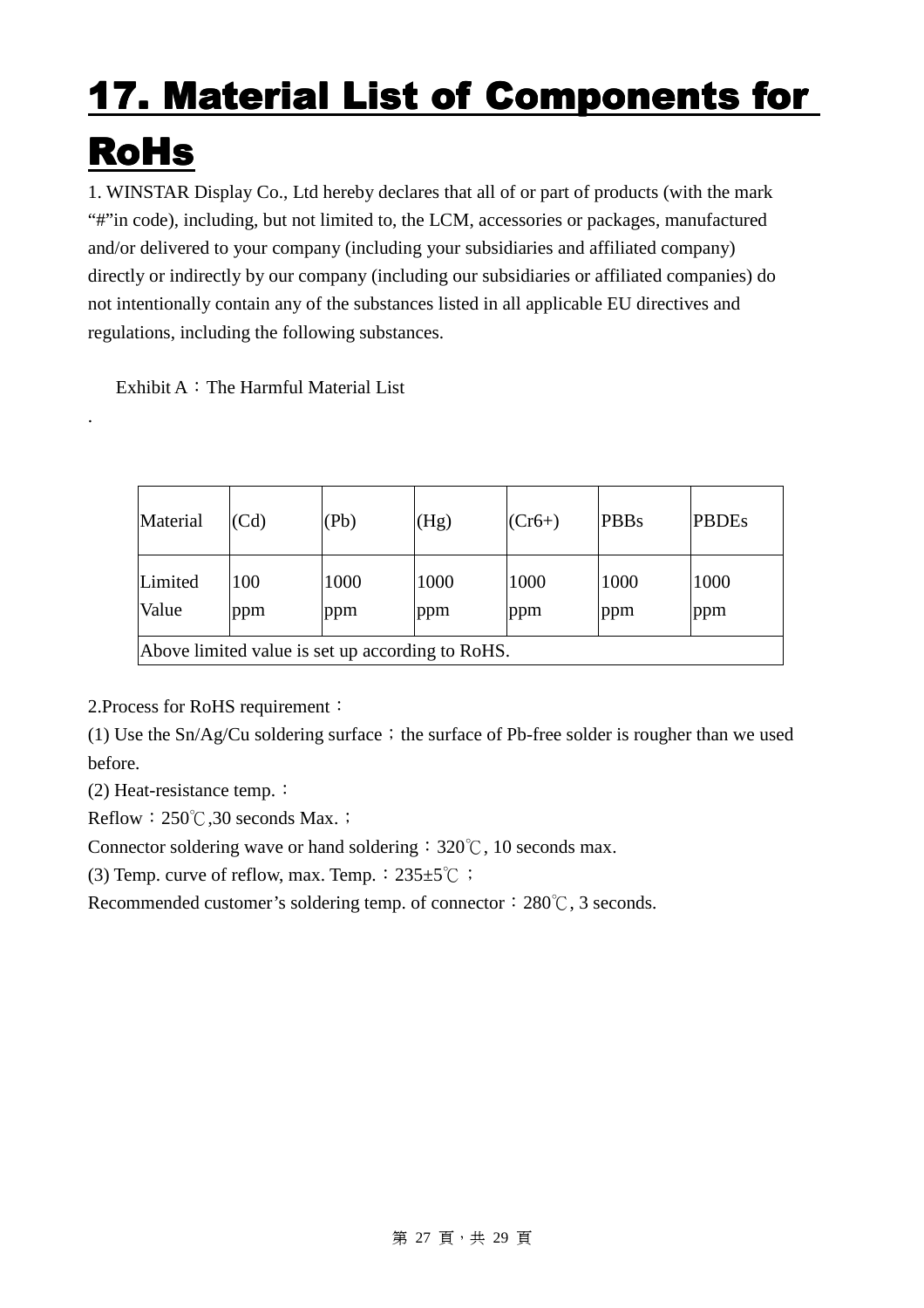# **17. Material List of Components for** RoHs

1. WINSTAR Display Co., Ltd hereby declares that all of or part of products (with the mark "#"in code), including, but not limited to, the LCM, accessories or packages, manufactured and/or delivered to your company (including your subsidiaries and affiliated company) directly or indirectly by our company (including our subsidiaries or affiliated companies) do not intentionally contain any of the substances listed in all applicable EU directives and regulations, including the following substances.

Exhibit A: The Harmful Material List

| Material                                         | (Cd)       | (Pb)        | (Hg)        | $(Cr6+)$    | PBBs        | <b>PBDEs</b> |
|--------------------------------------------------|------------|-------------|-------------|-------------|-------------|--------------|
| Limited<br>Value                                 | 100<br>ppm | 1000<br>ppm | 1000<br>ppm | 1000<br>ppm | 1000<br>ppm | 1000<br>ppm  |
| Above limited value is set up according to RoHS. |            |             |             |             |             |              |

2.Process for RoHS requirement:

(1) Use the  $Sn/Ag/Cu$  soldering surface; the surface of Pb-free solder is rougher than we used before.

(2) Heat-resistance temp.  $\colon$ 

.

Reflow:  $250^{\circ}$ C, 30 seconds Max.  $\vdots$ 

Connector soldering wave or hand soldering:  $320^{\circ}$ C, 10 seconds max.

(3) Temp. curve of reflow, max. Temp.:  $235±5^{\circ}$ C ;

Recommended customer's soldering temp. of connector: 280  $\degree$ C, 3 seconds.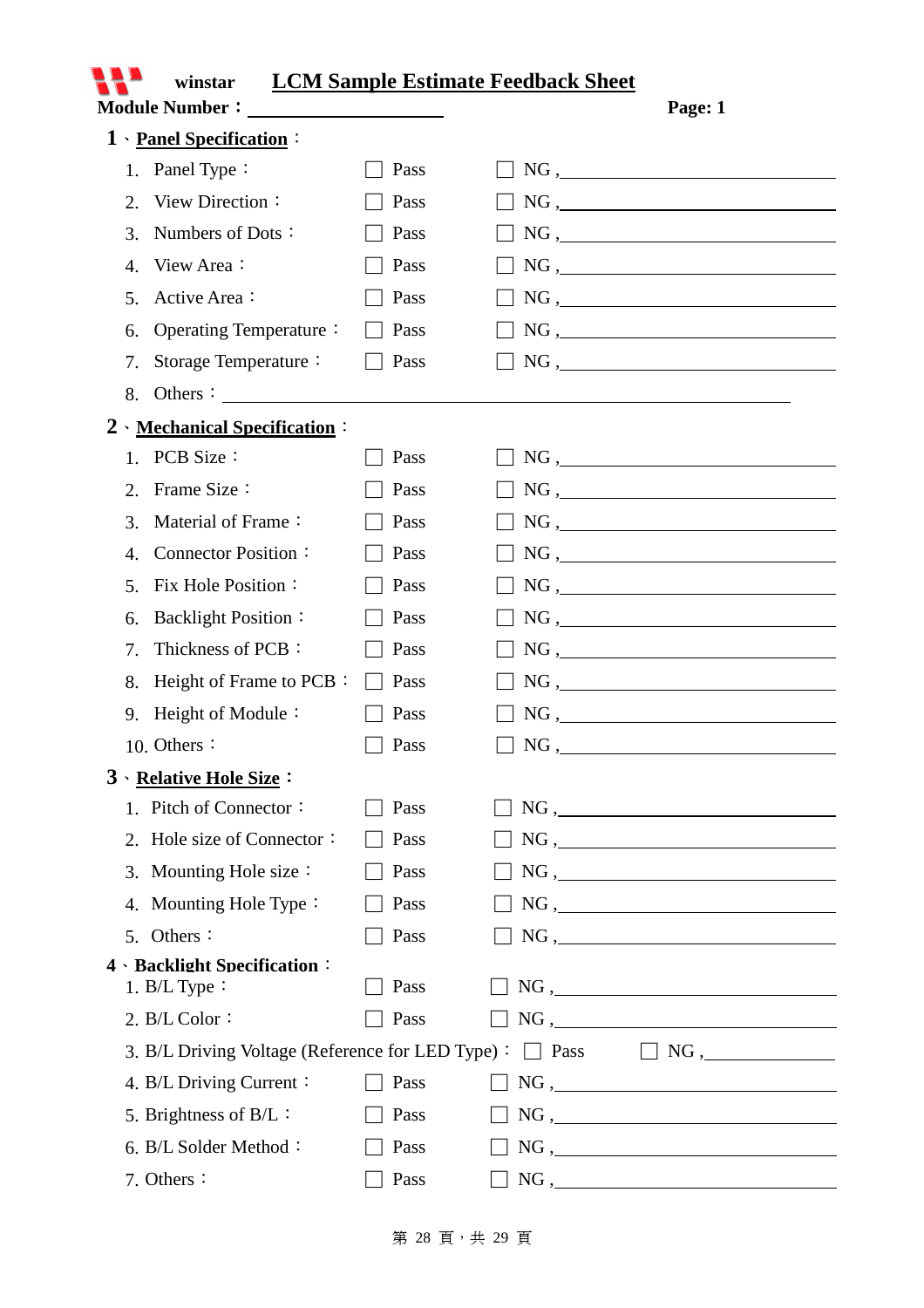|                          | winstar                                          |      | <b>LCM Sample Estimate Feedback Sheet</b> |  |  |
|--------------------------|--------------------------------------------------|------|-------------------------------------------|--|--|
|                          |                                                  |      | Page: 1                                   |  |  |
| 1 \ Panel Specification: |                                                  |      |                                           |  |  |
|                          | 1. Panel Type:                                   | Pass | $NG, \underline{\hspace{2cm}}$            |  |  |
|                          | View Direction:<br>2.                            | Pass | $NG, \underline{\hspace{2cm}}$            |  |  |
|                          | Numbers of Dots:<br>3.                           | Pass | $NG, \underline{\hspace{2cm}}$            |  |  |
|                          | View Area:<br>$\mathbf{4}$ .                     | Pass | NG,                                       |  |  |
|                          | Active Area:<br>5.                               | Pass | $NG, \underline{\hspace{2cm}}$            |  |  |
|                          | Operating Temperature:<br>6.                     | Pass | $NG, \underline{\hspace{2cm}}$            |  |  |
|                          | Storage Temperature:<br>7.                       | Pass | $NG, \_$                                  |  |  |
|                          | Others :<br>8.                                   |      |                                           |  |  |
|                          | 2 Mechanical Specification:                      |      |                                           |  |  |
|                          | 1. PCB Size:                                     | Pass | $NG, \underline{\hspace{2cm}}$            |  |  |
|                          | Frame Size:<br>2.                                | Pass | NG,                                       |  |  |
|                          | Material of Frame:<br>3.                         | Pass | $NG, \underline{\hspace{2cm}}$            |  |  |
|                          | <b>Connector Position:</b><br>4.                 | Pass | $NG, \underline{\hspace{2cm}}$            |  |  |
|                          | Fix Hole Position:<br>5.                         | Pass | $NG, \underline{\hspace{2cm}}$            |  |  |
|                          | <b>Backlight Position:</b><br>6.                 | Pass | $NG, \underline{\hspace{2cm}}$            |  |  |
|                          | Thickness of PCB:<br>7.                          | Pass | $NG, \underline{\hspace{2cm}}$            |  |  |
|                          | Height of Frame to PCB :<br>8.                   | Pass | $NG, \underline{\hspace{2cm}}$            |  |  |
|                          | Height of Module:<br>9.                          | Pass | $NG, \underline{\hspace{2cm}}$            |  |  |
|                          | 10. Others:                                      | Pass | $NG, \_$                                  |  |  |
|                          | 3 \ Relative Hole Size:                          |      |                                           |  |  |
|                          | 1. Pitch of Connector:                           | Pass | $NG, \underline{\hspace{2cm}}$            |  |  |
|                          | 2. Hole size of Connector:                       | Pass | NG,                                       |  |  |
|                          | 3. Mounting Hole size:                           | Pass | NG,                                       |  |  |
|                          | 4. Mounting Hole Type:                           | Pass | $NG, \underline{\hspace{2cm}}$            |  |  |
|                          | 5. Others:                                       | Pass | $NG, \underline{\hspace{2cm}}$            |  |  |
|                          | 4 · Backlight Specification:                     |      |                                           |  |  |
|                          | 1. $B/L$ Type :                                  | Pass | $NG, \underline{\hspace{2cm}}$            |  |  |
|                          | 2. $B/L$ Color:                                  | Pass | NG,                                       |  |  |
|                          | 3. B/L Driving Voltage (Reference for LED Type): |      |                                           |  |  |
|                          | 4. B/L Driving Current:                          | Pass | $NG, \underline{\hspace{2cm}}$            |  |  |
|                          | 5. Brightness of $B/L$ :                         | Pass | $NG, \underline{\hspace{2cm}}$            |  |  |
|                          | 6. B/L Solder Method:                            | Pass | NG,                                       |  |  |
|                          | 7. Others:                                       | Pass |                                           |  |  |